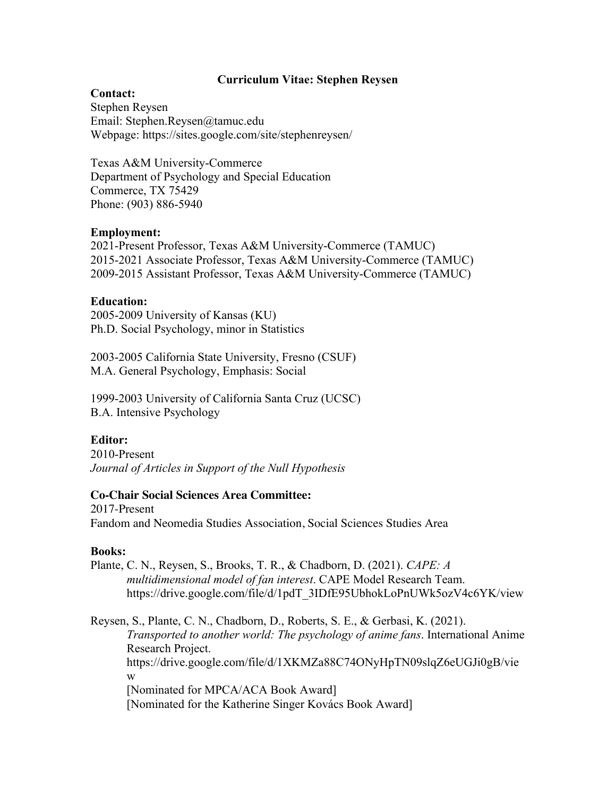# **Curriculum Vitae: Stephen Reysen**

## **Contact:**

Stephen Reysen Email: Stephen.Reysen@tamuc.edu Webpage: https://sites.google.com/site/stephenreysen/

Texas A&M University-Commerce Department of Psychology and Special Education Commerce, TX 75429 Phone: (903) 886-5940

## **Employment:**

2021-Present Professor, Texas A&M University-Commerce (TAMUC) 2015-2021 Associate Professor, Texas A&M University-Commerce (TAMUC) 2009-2015 Assistant Professor, Texas A&M University-Commerce (TAMUC)

### **Education:**

2005-2009 University of Kansas (KU) Ph.D. Social Psychology, minor in Statistics

2003-2005 California State University, Fresno (CSUF) M.A. General Psychology, Emphasis: Social

1999-2003 University of California Santa Cruz (UCSC) B.A. Intensive Psychology

# **Editor:**

2010-Present *Journal of Articles in Support of the Null Hypothesis* 

### **Co-Chair Social Sciences Area Committee:**

2017-Present Fandom and Neomedia Studies Association, Social Sciences Studies Area

### **Books:**

Plante, C. N., Reysen, S., Brooks, T. R., & Chadborn, D. (2021). *CAPE: A multidimensional model of fan interest*. CAPE Model Research Team. https://drive.google.com/file/d/1pdT\_3IDfE95UbhokLoPnUWk5ozV4c6YK/view

Reysen, S., Plante, C. N., Chadborn, D., Roberts, S. E., & Gerbasi, K. (2021). *Transported to another world: The psychology of anime fans*. International Anime Research Project. https://drive.google.com/file/d/1XKMZa88C74ONyHpTN09slqZ6eUGJi0gB/vie w [Nominated for MPCA/ACA Book Award] [Nominated for the Katherine Singer Kovács Book Award]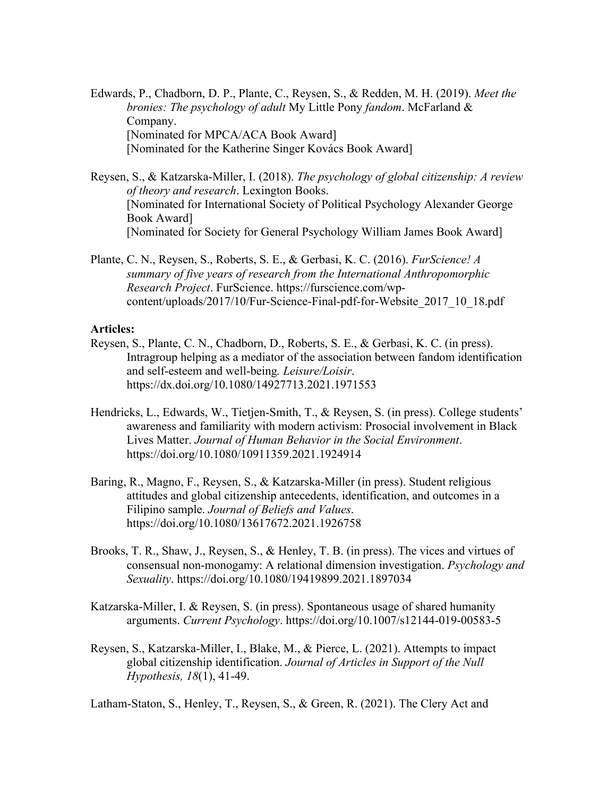Edwards, P., Chadborn, D. P., Plante, C., Reysen, S., & Redden, M. H. (2019). *Meet the bronies: The psychology of adult* My Little Pony *fandom*. McFarland & Company. [Nominated for MPCA/ACA Book Award] [Nominated for the Katherine Singer Kovács Book Award]

Reysen, S., & Katzarska-Miller, I. (2018). *The psychology of global citizenship: A review of theory and research*. Lexington Books. [Nominated for International Society of Political Psychology Alexander George Book Award] [Nominated for Society for General Psychology William James Book Award]

Plante, C. N., Reysen, S., Roberts, S. E., & Gerbasi, K. C. (2016). *FurScience! A summary of five years of research from the International Anthropomorphic Research Project*. FurScience. https://furscience.com/wpcontent/uploads/2017/10/Fur-Science-Final-pdf-for-Website\_2017\_10\_18.pdf

#### **Articles:**

- Reysen, S., Plante, C. N., Chadborn, D., Roberts, S. E., & Gerbasi, K. C. (in press). Intragroup helping as a mediator of the association between fandom identification and self-esteem and well-being*. Leisure/Loisir*. https://dx.doi.org/10.1080/14927713.2021.1971553
- Hendricks, L., Edwards, W., Tietjen-Smith, T., & Reysen, S. (in press). College students' awareness and familiarity with modern activism: Prosocial involvement in Black Lives Matter. *Journal of Human Behavior in the Social Environment*. https://doi.org/10.1080/10911359.2021.1924914
- Baring, R., Magno, F., Reysen, S., & Katzarska-Miller (in press). Student religious attitudes and global citizenship antecedents, identification, and outcomes in a Filipino sample. *Journal of Beliefs and Values*. https://doi.org/10.1080/13617672.2021.1926758
- Brooks, T. R., Shaw, J., Reysen, S., & Henley, T. B. (in press). The vices and virtues of consensual non-monogamy: A relational dimension investigation. *Psychology and Sexuality*. https://doi.org/10.1080/19419899.2021.1897034
- Katzarska-Miller, I. & Reysen, S. (in press). Spontaneous usage of shared humanity arguments. *Current Psychology*. https://doi.org/10.1007/s12144-019-00583-5
- Reysen, S., Katzarska-Miller, I., Blake, M., & Pierce, L. (2021). Attempts to impact global citizenship identification. *Journal of Articles in Support of the Null Hypothesis, 18*(1), 41-49.

Latham-Staton, S., Henley, T., Reysen, S., & Green, R. (2021). The Clery Act and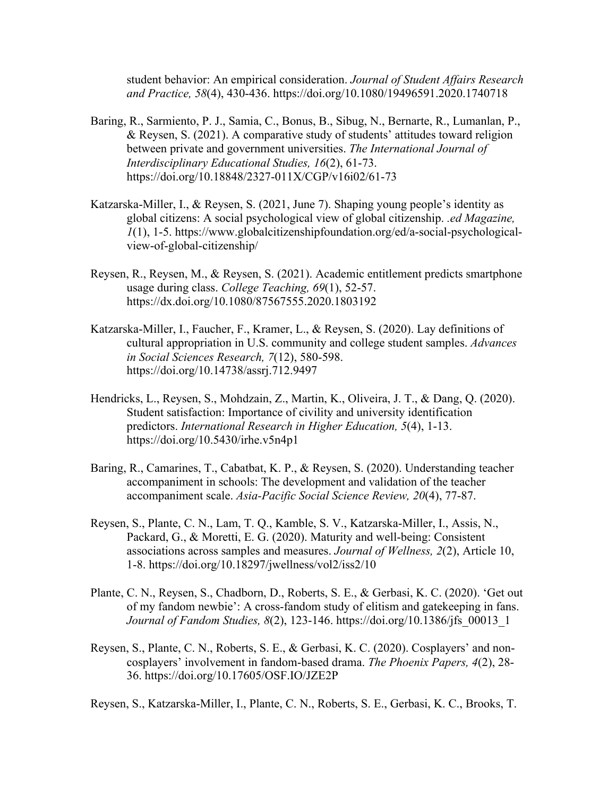student behavior: An empirical consideration. *Journal of Student Affairs Research and Practice, 58*(4), 430-436. https://doi.org/10.1080/19496591.2020.1740718

- Baring, R., Sarmiento, P. J., Samia, C., Bonus, B., Sibug, N., Bernarte, R., Lumanlan, P., & Reysen, S. (2021). A comparative study of students' attitudes toward religion between private and government universities. *The International Journal of Interdisciplinary Educational Studies, 16*(2), 61-73. https://doi.org/10.18848/2327-011X/CGP/v16i02/61-73
- Katzarska-Miller, I., & Reysen, S. (2021, June 7). Shaping young people's identity as global citizens: A social psychological view of global citizenship. *.ed Magazine, 1*(1), 1-5. https://www.globalcitizenshipfoundation.org/ed/a-social-psychologicalview-of-global-citizenship/
- Reysen, R., Reysen, M., & Reysen, S. (2021). Academic entitlement predicts smartphone usage during class. *College Teaching, 69*(1), 52-57. https://dx.doi.org/10.1080/87567555.2020.1803192
- Katzarska-Miller, I., Faucher, F., Kramer, L., & Reysen, S. (2020). Lay definitions of cultural appropriation in U.S. community and college student samples. *Advances in Social Sciences Research, 7*(12), 580-598. https://doi.org/10.14738/assrj.712.9497
- Hendricks, L., Reysen, S., Mohdzain, Z., Martin, K., Oliveira, J. T., & Dang, Q. (2020). Student satisfaction: Importance of civility and university identification predictors. *International Research in Higher Education, 5*(4), 1-13. https://doi.org/10.5430/irhe.v5n4p1
- Baring, R., Camarines, T., Cabatbat, K. P., & Reysen, S. (2020). Understanding teacher accompaniment in schools: The development and validation of the teacher accompaniment scale. *Asia-Pacific Social Science Review, 20*(4), 77-87.
- Reysen, S., Plante, C. N., Lam, T. Q., Kamble, S. V., Katzarska-Miller, I., Assis, N., Packard, G., & Moretti, E. G. (2020). Maturity and well-being: Consistent associations across samples and measures. *Journal of Wellness, 2*(2), Article 10, 1-8. https://doi.org/10.18297/jwellness/vol2/iss2/10
- Plante, C. N., Reysen, S., Chadborn, D., Roberts, S. E., & Gerbasi, K. C. (2020). 'Get out of my fandom newbie': A cross-fandom study of elitism and gatekeeping in fans. *Journal of Fandom Studies, 8*(2), 123-146. https://doi.org/10.1386/jfs\_00013\_1
- Reysen, S., Plante, C. N., Roberts, S. E., & Gerbasi, K. C. (2020). Cosplayers' and noncosplayers' involvement in fandom-based drama. *The Phoenix Papers, 4*(2), 28- 36. https://doi.org/10.17605/OSF.IO/JZE2P

Reysen, S., Katzarska-Miller, I., Plante, C. N., Roberts, S. E., Gerbasi, K. C., Brooks, T.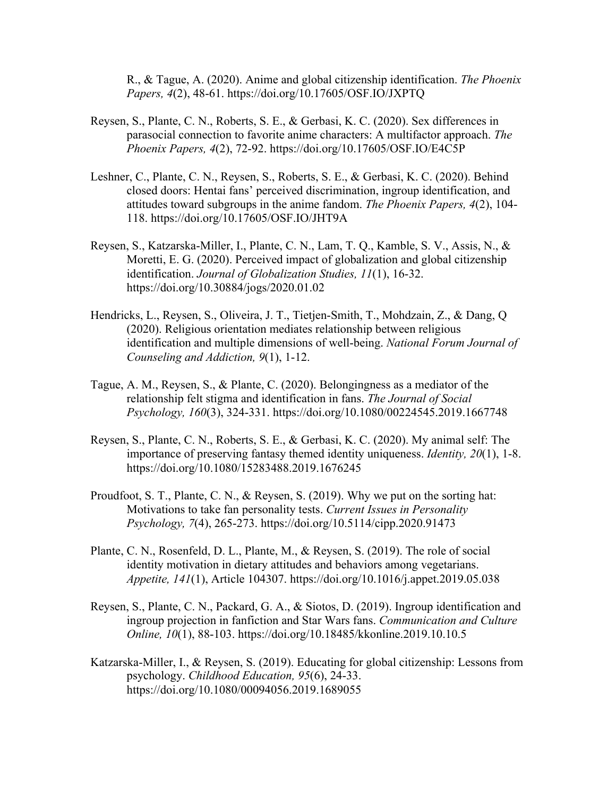R., & Tague, A. (2020). Anime and global citizenship identification. *The Phoenix Papers, 4*(2), 48-61. https://doi.org/10.17605/OSF.IO/JXPTQ

- Reysen, S., Plante, C. N., Roberts, S. E., & Gerbasi, K. C. (2020). Sex differences in parasocial connection to favorite anime characters: A multifactor approach. *The Phoenix Papers, 4*(2), 72-92. https://doi.org/10.17605/OSF.IO/E4C5P
- Leshner, C., Plante, C. N., Reysen, S., Roberts, S. E., & Gerbasi, K. C. (2020). Behind closed doors: Hentai fans' perceived discrimination, ingroup identification, and attitudes toward subgroups in the anime fandom. *The Phoenix Papers, 4*(2), 104- 118. https://doi.org/10.17605/OSF.IO/JHT9A
- Reysen, S., Katzarska-Miller, I., Plante, C. N., Lam, T. Q., Kamble, S. V., Assis, N., & Moretti, E. G. (2020). Perceived impact of globalization and global citizenship identification. *Journal of Globalization Studies, 11*(1), 16-32. https://doi.org/10.30884/jogs/2020.01.02
- Hendricks, L., Reysen, S., Oliveira, J. T., Tietjen-Smith, T., Mohdzain, Z., & Dang, Q (2020). Religious orientation mediates relationship between religious identification and multiple dimensions of well-being. *National Forum Journal of Counseling and Addiction, 9*(1), 1-12.
- Tague, A. M., Reysen, S., & Plante, C. (2020). Belongingness as a mediator of the relationship felt stigma and identification in fans. *The Journal of Social Psychology, 160*(3), 324-331. https://doi.org/10.1080/00224545.2019.1667748
- Reysen, S., Plante, C. N., Roberts, S. E., & Gerbasi, K. C. (2020). My animal self: The importance of preserving fantasy themed identity uniqueness. *Identity, 20*(1), 1-8. https://doi.org/10.1080/15283488.2019.1676245
- Proudfoot, S. T., Plante, C. N., & Reysen, S. (2019). Why we put on the sorting hat: Motivations to take fan personality tests. *Current Issues in Personality Psychology, 7*(4), 265-273. https://doi.org/10.5114/cipp.2020.91473
- Plante, C. N., Rosenfeld, D. L., Plante, M., & Reysen, S. (2019). The role of social identity motivation in dietary attitudes and behaviors among vegetarians. *Appetite, 141*(1), Article 104307. https://doi.org/10.1016/j.appet.2019.05.038
- Reysen, S., Plante, C. N., Packard, G. A., & Siotos, D. (2019). Ingroup identification and ingroup projection in fanfiction and Star Wars fans. *Communication and Culture Online, 10*(1), 88-103. https://doi.org/10.18485/kkonline.2019.10.10.5
- Katzarska-Miller, I., & Reysen, S. (2019). Educating for global citizenship: Lessons from psychology. *Childhood Education, 95*(6), 24-33. https://doi.org/10.1080/00094056.2019.1689055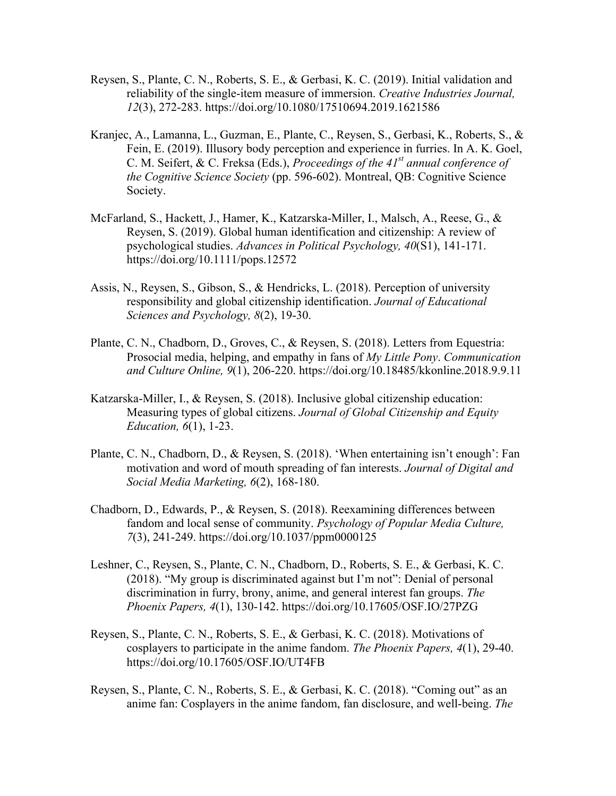- Reysen, S., Plante, C. N., Roberts, S. E., & Gerbasi, K. C. (2019). Initial validation and reliability of the single-item measure of immersion. *Creative Industries Journal, 12*(3), 272-283. https://doi.org/10.1080/17510694.2019.1621586
- Kranjec, A., Lamanna, L., Guzman, E., Plante, C., Reysen, S., Gerbasi, K., Roberts, S., & Fein, E. (2019). Illusory body perception and experience in furries. In A. K. Goel, C. M. Seifert, & C. Freksa (Eds.), *Proceedings of the 41st annual conference of the Cognitive Science Society* (pp. 596-602). Montreal, QB: Cognitive Science Society.
- McFarland, S., Hackett, J., Hamer, K., Katzarska-Miller, I., Malsch, A., Reese, G., & Reysen, S. (2019). Global human identification and citizenship: A review of psychological studies. *Advances in Political Psychology, 40*(S1), 141-171. https://doi.org/10.1111/pops.12572
- Assis, N., Reysen, S., Gibson, S., & Hendricks, L. (2018). Perception of university responsibility and global citizenship identification. *Journal of Educational Sciences and Psychology, 8*(2), 19-30.
- Plante, C. N., Chadborn, D., Groves, C., & Reysen, S. (2018). Letters from Equestria: Prosocial media, helping, and empathy in fans of *My Little Pony*. *Communication and Culture Online, 9*(1), 206-220. https://doi.org/10.18485/kkonline.2018.9.9.11
- Katzarska-Miller, I., & Reysen, S. (2018). Inclusive global citizenship education: Measuring types of global citizens. *Journal of Global Citizenship and Equity Education, 6*(1), 1-23.
- Plante, C. N., Chadborn, D., & Reysen, S. (2018). 'When entertaining isn't enough': Fan motivation and word of mouth spreading of fan interests. *Journal of Digital and Social Media Marketing, 6*(2), 168-180.
- Chadborn, D., Edwards, P., & Reysen, S. (2018). Reexamining differences between fandom and local sense of community. *Psychology of Popular Media Culture, 7*(3), 241-249. https://doi.org/10.1037/ppm0000125
- Leshner, C., Reysen, S., Plante, C. N., Chadborn, D., Roberts, S. E., & Gerbasi, K. C. (2018). "My group is discriminated against but I'm not": Denial of personal discrimination in furry, brony, anime, and general interest fan groups. *The Phoenix Papers, 4*(1), 130-142. https://doi.org/10.17605/OSF.IO/27PZG
- Reysen, S., Plante, C. N., Roberts, S. E., & Gerbasi, K. C. (2018). Motivations of cosplayers to participate in the anime fandom. *The Phoenix Papers, 4*(1), 29-40. https://doi.org/10.17605/OSF.IO/UT4FB
- Reysen, S., Plante, C. N., Roberts, S. E., & Gerbasi, K. C. (2018). "Coming out" as an anime fan: Cosplayers in the anime fandom, fan disclosure, and well-being. *The*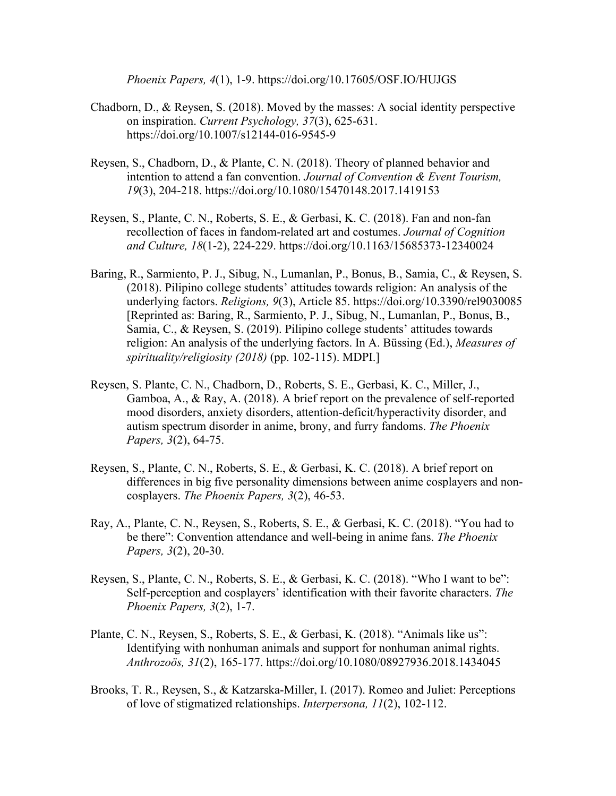*Phoenix Papers, 4*(1), 1-9. https://doi.org/10.17605/OSF.IO/HUJGS

- Chadborn, D., & Reysen, S. (2018). Moved by the masses: A social identity perspective on inspiration. *Current Psychology, 37*(3), 625-631. https://doi.org/10.1007/s12144-016-9545-9
- Reysen, S., Chadborn, D., & Plante, C. N. (2018). Theory of planned behavior and intention to attend a fan convention. *Journal of Convention & Event Tourism, 19*(3), 204-218. https://doi.org/10.1080/15470148.2017.1419153
- Reysen, S., Plante, C. N., Roberts, S. E., & Gerbasi, K. C. (2018). Fan and non-fan recollection of faces in fandom-related art and costumes. *Journal of Cognition and Culture, 18*(1-2), 224-229. https://doi.org/10.1163/15685373-12340024
- Baring, R., Sarmiento, P. J., Sibug, N., Lumanlan, P., Bonus, B., Samia, C., & Reysen, S. (2018). Pilipino college students' attitudes towards religion: An analysis of the underlying factors. *Religions, 9*(3), Article 85. https://doi.org/10.3390/rel9030085 [Reprinted as: Baring, R., Sarmiento, P. J., Sibug, N., Lumanlan, P., Bonus, B., Samia, C., & Reysen, S. (2019). Pilipino college students' attitudes towards religion: An analysis of the underlying factors. In A. Büssing (Ed.), *Measures of spirituality/religiosity (2018)* (pp. 102-115). MDPI.]
- Reysen, S. Plante, C. N., Chadborn, D., Roberts, S. E., Gerbasi, K. C., Miller, J., Gamboa, A., & Ray, A. (2018). A brief report on the prevalence of self-reported mood disorders, anxiety disorders, attention-deficit/hyperactivity disorder, and autism spectrum disorder in anime, brony, and furry fandoms. *The Phoenix Papers, 3*(2), 64-75.
- Reysen, S., Plante, C. N., Roberts, S. E., & Gerbasi, K. C. (2018). A brief report on differences in big five personality dimensions between anime cosplayers and noncosplayers. *The Phoenix Papers, 3*(2), 46-53.
- Ray, A., Plante, C. N., Reysen, S., Roberts, S. E., & Gerbasi, K. C. (2018). "You had to be there": Convention attendance and well-being in anime fans. *The Phoenix Papers, 3*(2), 20-30.
- Reysen, S., Plante, C. N., Roberts, S. E., & Gerbasi, K. C. (2018). "Who I want to be": Self-perception and cosplayers' identification with their favorite characters. *The Phoenix Papers, 3*(2), 1-7.
- Plante, C. N., Reysen, S., Roberts, S. E., & Gerbasi, K. (2018). "Animals like us": Identifying with nonhuman animals and support for nonhuman animal rights. *Anthrozoös, 31*(2), 165-177. https://doi.org/10.1080/08927936.2018.1434045
- Brooks, T. R., Reysen, S., & Katzarska-Miller, I. (2017). Romeo and Juliet: Perceptions of love of stigmatized relationships. *Interpersona, 11*(2), 102-112.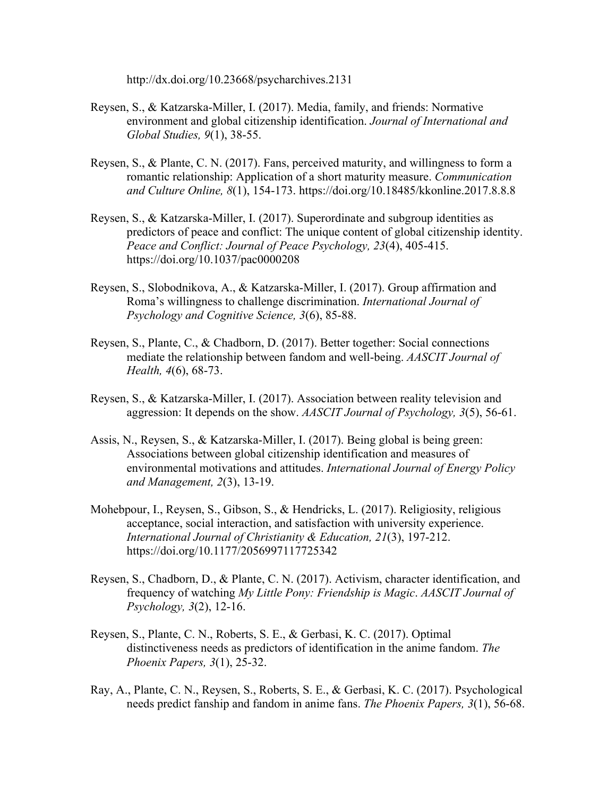http://dx.doi.org/10.23668/psycharchives.2131

- Reysen, S., & Katzarska-Miller, I. (2017). Media, family, and friends: Normative environment and global citizenship identification. *Journal of International and Global Studies, 9*(1), 38-55.
- Reysen, S., & Plante, C. N. (2017). Fans, perceived maturity, and willingness to form a romantic relationship: Application of a short maturity measure. *Communication and Culture Online, 8*(1), 154-173. https://doi.org/10.18485/kkonline.2017.8.8.8
- Reysen, S., & Katzarska-Miller, I. (2017). Superordinate and subgroup identities as predictors of peace and conflict: The unique content of global citizenship identity. *Peace and Conflict: Journal of Peace Psychology, 23*(4), 405-415. https://doi.org/10.1037/pac0000208
- Reysen, S., Slobodnikova, A., & Katzarska-Miller, I. (2017). Group affirmation and Roma's willingness to challenge discrimination. *International Journal of Psychology and Cognitive Science, 3*(6), 85-88.
- Reysen, S., Plante, C., & Chadborn, D. (2017). Better together: Social connections mediate the relationship between fandom and well-being. *AASCIT Journal of Health, 4*(6), 68-73.
- Reysen, S., & Katzarska-Miller, I. (2017). Association between reality television and aggression: It depends on the show. *AASCIT Journal of Psychology, 3*(5), 56-61.
- Assis, N., Reysen, S., & Katzarska-Miller, I. (2017). Being global is being green: Associations between global citizenship identification and measures of environmental motivations and attitudes. *International Journal of Energy Policy and Management, 2*(3), 13-19.
- Mohebpour, I., Reysen, S., Gibson, S., & Hendricks, L. (2017). Religiosity, religious acceptance, social interaction, and satisfaction with university experience. *International Journal of Christianity & Education, 21*(3), 197-212. https://doi.org/10.1177/2056997117725342
- Reysen, S., Chadborn, D., & Plante, C. N. (2017). Activism, character identification, and frequency of watching *My Little Pony: Friendship is Magic*. *AASCIT Journal of Psychology, 3*(2), 12-16.
- Reysen, S., Plante, C. N., Roberts, S. E., & Gerbasi, K. C. (2017). Optimal distinctiveness needs as predictors of identification in the anime fandom. *The Phoenix Papers, 3*(1), 25-32.
- Ray, A., Plante, C. N., Reysen, S., Roberts, S. E., & Gerbasi, K. C. (2017). Psychological needs predict fanship and fandom in anime fans. *The Phoenix Papers, 3*(1), 56-68.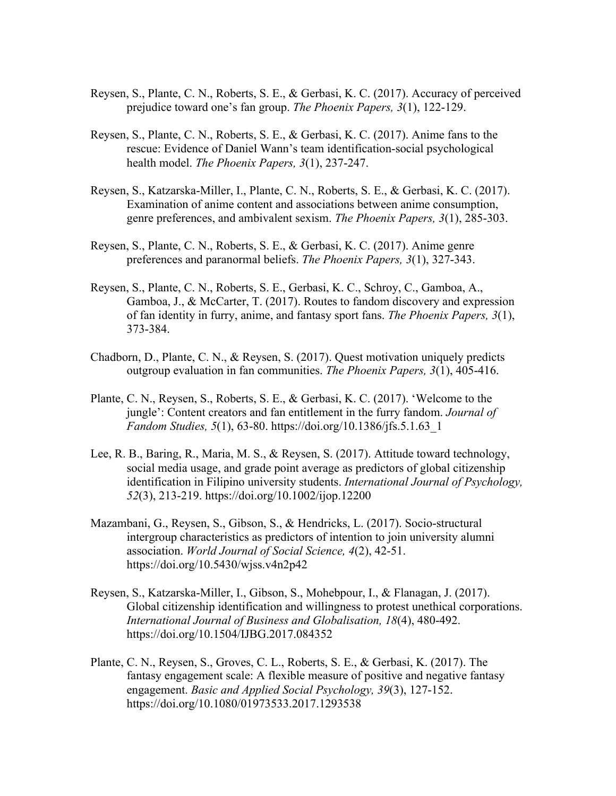- Reysen, S., Plante, C. N., Roberts, S. E., & Gerbasi, K. C. (2017). Accuracy of perceived prejudice toward one's fan group. *The Phoenix Papers, 3*(1), 122-129.
- Reysen, S., Plante, C. N., Roberts, S. E., & Gerbasi, K. C. (2017). Anime fans to the rescue: Evidence of Daniel Wann's team identification-social psychological health model. *The Phoenix Papers, 3*(1), 237-247.
- Reysen, S., Katzarska-Miller, I., Plante, C. N., Roberts, S. E., & Gerbasi, K. C. (2017). Examination of anime content and associations between anime consumption, genre preferences, and ambivalent sexism. *The Phoenix Papers, 3*(1), 285-303.
- Reysen, S., Plante, C. N., Roberts, S. E., & Gerbasi, K. C. (2017). Anime genre preferences and paranormal beliefs. *The Phoenix Papers, 3*(1), 327-343.
- Reysen, S., Plante, C. N., Roberts, S. E., Gerbasi, K. C., Schroy, C., Gamboa, A., Gamboa, J., & McCarter, T. (2017). Routes to fandom discovery and expression of fan identity in furry, anime, and fantasy sport fans. *The Phoenix Papers, 3*(1), 373-384.
- Chadborn, D., Plante, C. N., & Reysen, S. (2017). Quest motivation uniquely predicts outgroup evaluation in fan communities. *The Phoenix Papers, 3*(1), 405-416.
- Plante, C. N., Reysen, S., Roberts, S. E., & Gerbasi, K. C. (2017). 'Welcome to the jungle': Content creators and fan entitlement in the furry fandom. *Journal of Fandom Studies, 5*(1), 63-80. https://doi.org/10.1386/jfs.5.1.63\_1
- Lee, R. B., Baring, R., Maria, M. S., & Reysen, S. (2017). Attitude toward technology, social media usage, and grade point average as predictors of global citizenship identification in Filipino university students. *International Journal of Psychology, 52*(3), 213-219. https://doi.org/10.1002/ijop.12200
- Mazambani, G., Reysen, S., Gibson, S., & Hendricks, L. (2017). Socio-structural intergroup characteristics as predictors of intention to join university alumni association. *World Journal of Social Science, 4*(2), 42-51. https://doi.org/10.5430/wjss.v4n2p42
- Reysen, S., Katzarska-Miller, I., Gibson, S., Mohebpour, I., & Flanagan, J. (2017). Global citizenship identification and willingness to protest unethical corporations. *International Journal of Business and Globalisation, 18*(4), 480-492. https://doi.org/10.1504/IJBG.2017.084352
- Plante, C. N., Reysen, S., Groves, C. L., Roberts, S. E., & Gerbasi, K. (2017). The fantasy engagement scale: A flexible measure of positive and negative fantasy engagement. *Basic and Applied Social Psychology, 39*(3), 127-152. https://doi.org/10.1080/01973533.2017.1293538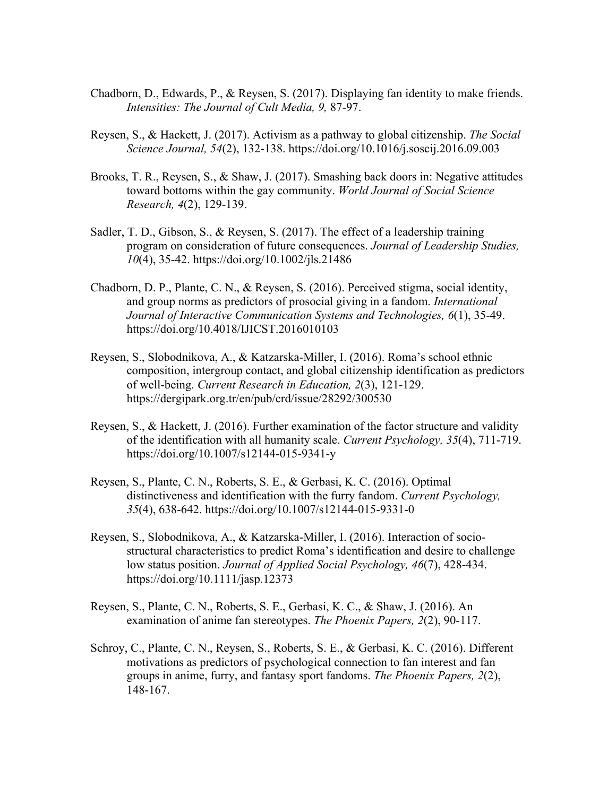- Chadborn, D., Edwards, P., & Reysen, S. (2017). Displaying fan identity to make friends. *Intensities: The Journal of Cult Media, 9,* 87-97.
- Reysen, S., & Hackett, J. (2017). Activism as a pathway to global citizenship. *The Social Science Journal, 54*(2), 132-138. https://doi.org/10.1016/j.soscij.2016.09.003
- Brooks, T. R., Reysen, S., & Shaw, J. (2017). Smashing back doors in: Negative attitudes toward bottoms within the gay community. *World Journal of Social Science Research, 4*(2), 129-139.
- Sadler, T. D., Gibson, S., & Reysen, S. (2017). The effect of a leadership training program on consideration of future consequences. *Journal of Leadership Studies, 10*(4), 35-42. https://doi.org/10.1002/jls.21486
- Chadborn, D. P., Plante, C. N., & Reysen, S. (2016). Perceived stigma, social identity, and group norms as predictors of prosocial giving in a fandom. *International Journal of Interactive Communication Systems and Technologies, 6*(1), 35-49. https://doi.org/10.4018/IJICST.2016010103
- Reysen, S., Slobodnikova, A., & Katzarska-Miller, I. (2016). Roma's school ethnic composition, intergroup contact, and global citizenship identification as predictors of well-being. *Current Research in Education, 2*(3), 121-129. https://dergipark.org.tr/en/pub/crd/issue/28292/300530
- Reysen, S., & Hackett, J. (2016). Further examination of the factor structure and validity of the identification with all humanity scale. *Current Psychology, 35*(4), 711-719. https://doi.org/10.1007/s12144-015-9341-y
- Reysen, S., Plante, C. N., Roberts, S. E., & Gerbasi, K. C. (2016). Optimal distinctiveness and identification with the furry fandom. *Current Psychology, 35*(4), 638-642. https://doi.org/10.1007/s12144-015-9331-0
- Reysen, S., Slobodnikova, A., & Katzarska-Miller, I. (2016). Interaction of sociostructural characteristics to predict Roma's identification and desire to challenge low status position. *Journal of Applied Social Psychology, 46*(7), 428-434. https://doi.org/10.1111/jasp.12373
- Reysen, S., Plante, C. N., Roberts, S. E., Gerbasi, K. C., & Shaw, J. (2016). An examination of anime fan stereotypes. *The Phoenix Papers, 2*(2), 90-117.
- Schroy, C., Plante, C. N., Reysen, S., Roberts, S. E., & Gerbasi, K. C. (2016). Different motivations as predictors of psychological connection to fan interest and fan groups in anime, furry, and fantasy sport fandoms. *The Phoenix Papers, 2*(2), 148-167.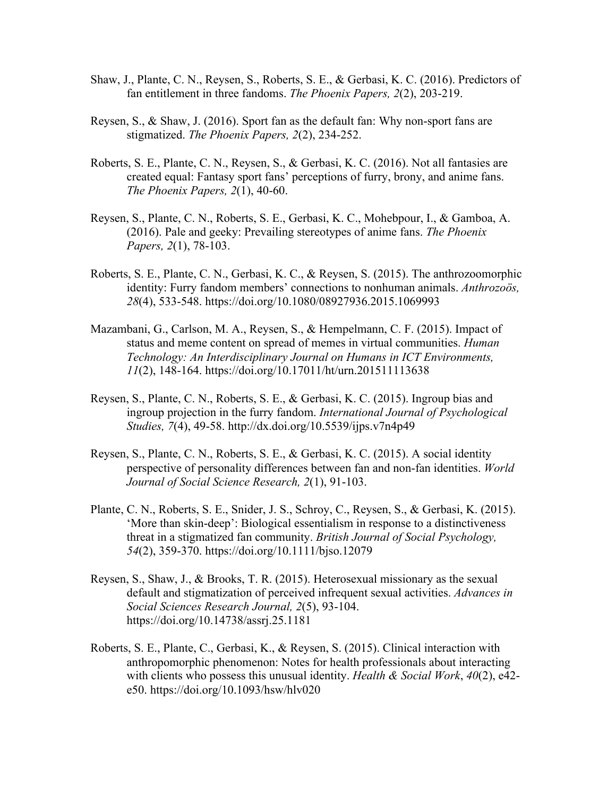- Shaw, J., Plante, C. N., Reysen, S., Roberts, S. E., & Gerbasi, K. C. (2016). Predictors of fan entitlement in three fandoms. *The Phoenix Papers, 2*(2), 203-219.
- Reysen, S., & Shaw, J. (2016). Sport fan as the default fan: Why non-sport fans are stigmatized. *The Phoenix Papers, 2*(2), 234-252.
- Roberts, S. E., Plante, C. N., Reysen, S., & Gerbasi, K. C. (2016). Not all fantasies are created equal: Fantasy sport fans' perceptions of furry, brony, and anime fans. *The Phoenix Papers, 2*(1), 40-60.
- Reysen, S., Plante, C. N., Roberts, S. E., Gerbasi, K. C., Mohebpour, I., & Gamboa, A. (2016). Pale and geeky: Prevailing stereotypes of anime fans. *The Phoenix Papers, 2*(1), 78-103.
- Roberts, S. E., Plante, C. N., Gerbasi, K. C., & Reysen, S. (2015). The anthrozoomorphic identity: Furry fandom members' connections to nonhuman animals. *Anthrozoös, 28*(4), 533-548. https://doi.org/10.1080/08927936.2015.1069993
- Mazambani, G., Carlson, M. A., Reysen, S., & Hempelmann, C. F. (2015). Impact of status and meme content on spread of memes in virtual communities. *Human Technology: An Interdisciplinary Journal on Humans in ICT Environments, 11*(2), 148-164. https://doi.org/10.17011/ht/urn.201511113638
- Reysen, S., Plante, C. N., Roberts, S. E., & Gerbasi, K. C. (2015). Ingroup bias and ingroup projection in the furry fandom. *International Journal of Psychological Studies, 7*(4), 49-58. http://dx.doi.org/10.5539/ijps.v7n4p49
- Reysen, S., Plante, C. N., Roberts, S. E., & Gerbasi, K. C. (2015). A social identity perspective of personality differences between fan and non-fan identities. *World Journal of Social Science Research, 2*(1), 91-103.
- Plante, C. N., Roberts, S. E., Snider, J. S., Schroy, C., Reysen, S., & Gerbasi, K. (2015). 'More than skin-deep': Biological essentialism in response to a distinctiveness threat in a stigmatized fan community. *British Journal of Social Psychology, 54*(2), 359-370. https://doi.org/10.1111/bjso.12079
- Reysen, S., Shaw, J., & Brooks, T. R. (2015). Heterosexual missionary as the sexual default and stigmatization of perceived infrequent sexual activities. *Advances in Social Sciences Research Journal, 2*(5), 93-104. https://doi.org/10.14738/assrj.25.1181
- Roberts, S. E., Plante, C., Gerbasi, K., & Reysen, S. (2015). Clinical interaction with anthropomorphic phenomenon: Notes for health professionals about interacting with clients who possess this unusual identity. *Health & Social Work*, *40*(2), e42 e50. https://doi.org/10.1093/hsw/hlv020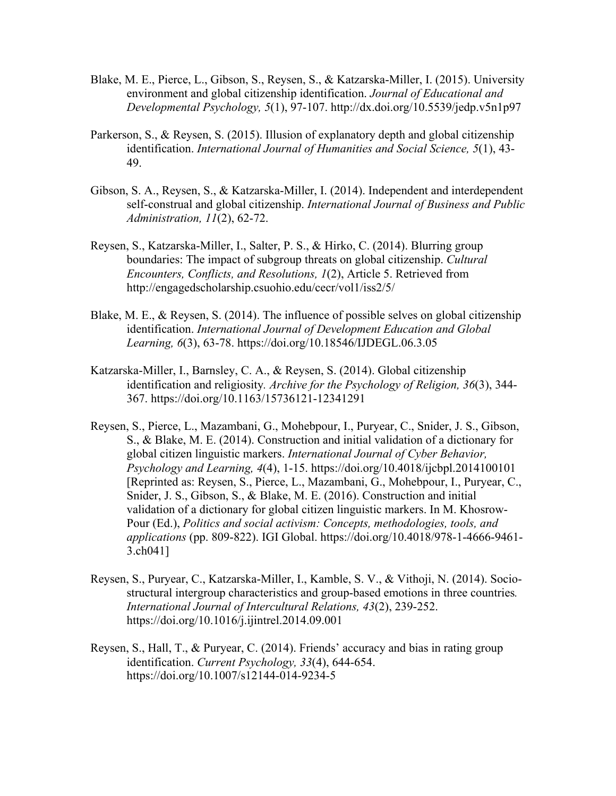- Blake, M. E., Pierce, L., Gibson, S., Reysen, S., & Katzarska-Miller, I. (2015). University environment and global citizenship identification. *Journal of Educational and Developmental Psychology, 5*(1), 97-107. http://dx.doi.org/10.5539/jedp.v5n1p97
- Parkerson, S., & Reysen, S. (2015). Illusion of explanatory depth and global citizenship identification. *International Journal of Humanities and Social Science, 5*(1), 43- 49.
- Gibson, S. A., Reysen, S., & Katzarska-Miller, I. (2014). Independent and interdependent self-construal and global citizenship. *International Journal of Business and Public Administration, 11*(2), 62-72.
- Reysen, S., Katzarska-Miller, I., Salter, P. S., & Hirko, C. (2014). Blurring group boundaries: The impact of subgroup threats on global citizenship. *Cultural Encounters, Conflicts, and Resolutions, 1*(2), Article 5. Retrieved from http://engagedscholarship.csuohio.edu/cecr/vol1/iss2/5/
- Blake, M. E., & Reysen, S. (2014). The influence of possible selves on global citizenship identification. *International Journal of Development Education and Global Learning, 6*(3), 63-78. https://doi.org/10.18546/IJDEGL.06.3.05
- Katzarska-Miller, I., Barnsley, C. A., & Reysen, S. (2014). Global citizenship identification and religiosity*. Archive for the Psychology of Religion, 36*(3), 344- 367. https://doi.org/10.1163/15736121-12341291
- Reysen, S., Pierce, L., Mazambani, G., Mohebpour, I., Puryear, C., Snider, J. S., Gibson, S., & Blake, M. E. (2014). Construction and initial validation of a dictionary for global citizen linguistic markers. *International Journal of Cyber Behavior, Psychology and Learning, 4*(4), 1-15. https://doi.org/10.4018/ijcbpl.2014100101 [Reprinted as: Reysen, S., Pierce, L., Mazambani, G., Mohebpour, I., Puryear, C., Snider, J. S., Gibson, S., & Blake, M. E. (2016). Construction and initial validation of a dictionary for global citizen linguistic markers. In M. Khosrow-Pour (Ed.), *Politics and social activism: Concepts, methodologies, tools, and applications* (pp. 809-822). IGI Global. https://doi.org/10.4018/978-1-4666-9461- 3.ch041]
- Reysen, S., Puryear, C., Katzarska-Miller, I., Kamble, S. V., & Vithoji, N. (2014). Sociostructural intergroup characteristics and group-based emotions in three countries*. International Journal of Intercultural Relations, 43*(2), 239-252. https://doi.org/10.1016/j.ijintrel.2014.09.001
- Reysen, S., Hall, T., & Puryear, C. (2014). Friends' accuracy and bias in rating group identification. *Current Psychology, 33*(4), 644-654. https://doi.org/10.1007/s12144-014-9234-5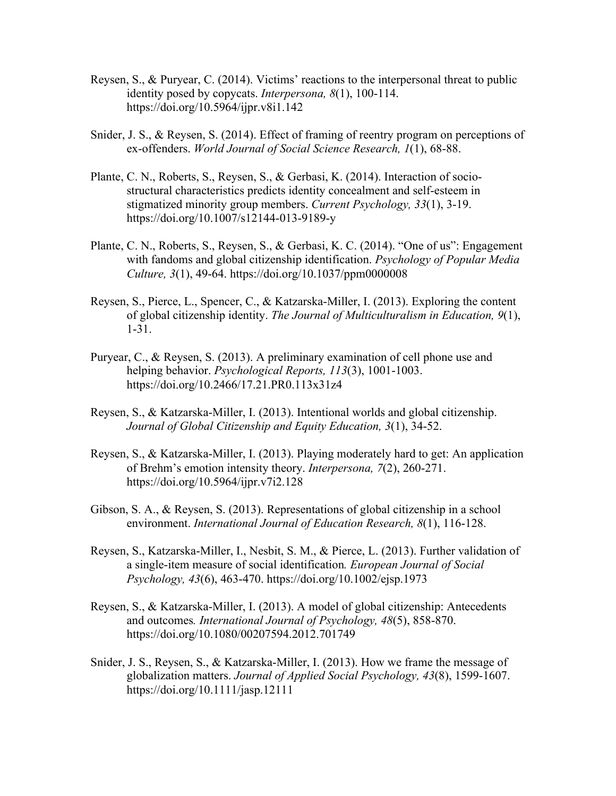- Reysen, S., & Puryear, C. (2014). Victims' reactions to the interpersonal threat to public identity posed by copycats. *Interpersona, 8*(1), 100-114. https://doi.org/10.5964/ijpr.v8i1.142
- Snider, J. S., & Reysen, S. (2014). Effect of framing of reentry program on perceptions of ex-offenders. *World Journal of Social Science Research, 1*(1), 68-88.
- Plante, C. N., Roberts, S., Reysen, S., & Gerbasi, K. (2014). Interaction of sociostructural characteristics predicts identity concealment and self-esteem in stigmatized minority group members. *Current Psychology, 33*(1), 3-19. https://doi.org/10.1007/s12144-013-9189-y
- Plante, C. N., Roberts, S., Reysen, S., & Gerbasi, K. C. (2014). "One of us": Engagement with fandoms and global citizenship identification. *Psychology of Popular Media Culture, 3*(1), 49-64. https://doi.org/10.1037/ppm0000008
- Reysen, S., Pierce, L., Spencer, C., & Katzarska-Miller, I. (2013). Exploring the content of global citizenship identity. *The Journal of Multiculturalism in Education, 9*(1), 1-31.
- Puryear, C., & Reysen, S. (2013). A preliminary examination of cell phone use and helping behavior. *Psychological Reports, 113*(3), 1001-1003. https://doi.org/10.2466/17.21.PR0.113x31z4
- Reysen, S., & Katzarska-Miller, I. (2013). Intentional worlds and global citizenship. *Journal of Global Citizenship and Equity Education, 3*(1), 34-52.
- Reysen, S., & Katzarska-Miller, I. (2013). Playing moderately hard to get: An application of Brehm's emotion intensity theory. *Interpersona, 7*(2), 260-271. https://doi.org/10.5964/ijpr.v7i2.128
- Gibson, S. A., & Reysen, S. (2013). Representations of global citizenship in a school environment. *International Journal of Education Research, 8*(1), 116-128.
- Reysen, S., Katzarska-Miller, I., Nesbit, S. M., & Pierce, L. (2013). Further validation of a single-item measure of social identification*. European Journal of Social Psychology, 43*(6), 463-470. https://doi.org/10.1002/ejsp.1973
- Reysen, S., & Katzarska-Miller, I. (2013). A model of global citizenship: Antecedents and outcomes*. International Journal of Psychology, 48*(5), 858-870. https://doi.org/10.1080/00207594.2012.701749
- Snider, J. S., Reysen, S., & Katzarska-Miller, I. (2013). How we frame the message of globalization matters. *Journal of Applied Social Psychology, 43*(8), 1599-1607. https://doi.org/10.1111/jasp.12111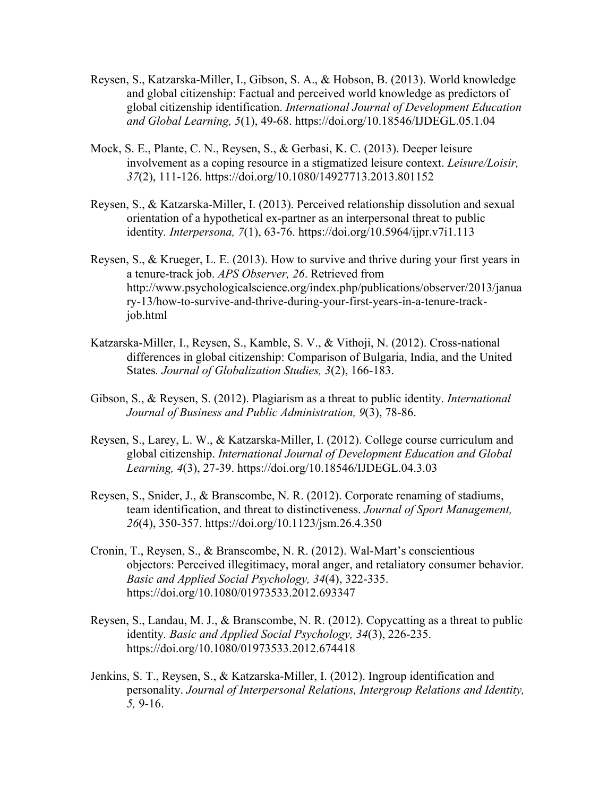- Reysen, S., Katzarska-Miller, I., Gibson, S. A., & Hobson, B. (2013). World knowledge and global citizenship: Factual and perceived world knowledge as predictors of global citizenship identification. *International Journal of Development Education and Global Learning, 5*(1), 49-68. https://doi.org/10.18546/IJDEGL.05.1.04
- Mock, S. E., Plante, C. N., Reysen, S., & Gerbasi, K. C. (2013). Deeper leisure involvement as a coping resource in a stigmatized leisure context. *Leisure/Loisir, 37*(2), 111-126. https://doi.org/10.1080/14927713.2013.801152
- Reysen, S., & Katzarska-Miller, I. (2013). Perceived relationship dissolution and sexual orientation of a hypothetical ex-partner as an interpersonal threat to public identity*. Interpersona, 7*(1), 63-76. https://doi.org/10.5964/ijpr.v7i1.113
- Reysen, S., & Krueger, L. E. (2013). How to survive and thrive during your first years in a tenure-track job. *APS Observer, 26*. Retrieved from http://www.psychologicalscience.org/index.php/publications/observer/2013/janua ry-13/how-to-survive-and-thrive-during-your-first-years-in-a-tenure-trackjob.html
- Katzarska-Miller, I., Reysen, S., Kamble, S. V., & Vithoji, N. (2012). Cross-national differences in global citizenship: Comparison of Bulgaria, India, and the United States*. Journal of Globalization Studies, 3*(2), 166-183.
- Gibson, S., & Reysen, S. (2012). Plagiarism as a threat to public identity. *International Journal of Business and Public Administration, 9*(3), 78-86.
- Reysen, S., Larey, L. W., & Katzarska-Miller, I. (2012). College course curriculum and global citizenship. *International Journal of Development Education and Global Learning, 4*(3), 27-39. https://doi.org/10.18546/IJDEGL.04.3.03
- Reysen, S., Snider, J., & Branscombe, N. R. (2012). Corporate renaming of stadiums, team identification, and threat to distinctiveness. *Journal of Sport Management, 26*(4), 350-357. https://doi.org/10.1123/jsm.26.4.350
- Cronin, T., Reysen, S., & Branscombe, N. R. (2012). Wal-Mart's conscientious objectors: Perceived illegitimacy, moral anger, and retaliatory consumer behavior. *Basic and Applied Social Psychology, 34*(4), 322-335. https://doi.org/10.1080/01973533.2012.693347
- Reysen, S., Landau, M. J., & Branscombe, N. R. (2012). Copycatting as a threat to public identity*. Basic and Applied Social Psychology, 34*(3), 226-235. https://doi.org/10.1080/01973533.2012.674418
- Jenkins, S. T., Reysen, S., & Katzarska-Miller, I. (2012). Ingroup identification and personality. *Journal of Interpersonal Relations, Intergroup Relations and Identity, 5,* 9-16.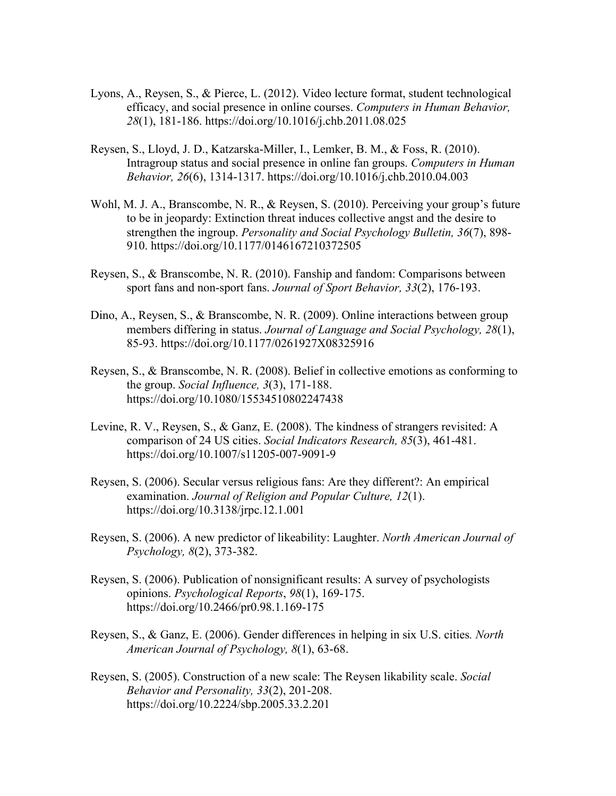- Lyons, A., Reysen, S., & Pierce, L. (2012). Video lecture format, student technological efficacy, and social presence in online courses. *Computers in Human Behavior, 28*(1), 181-186. https://doi.org/10.1016/j.chb.2011.08.025
- Reysen, S., Lloyd, J. D., Katzarska-Miller, I., Lemker, B. M., & Foss, R. (2010). Intragroup status and social presence in online fan groups. *Computers in Human Behavior, 26*(6), 1314-1317. https://doi.org/10.1016/j.chb.2010.04.003
- Wohl, M. J. A., Branscombe, N. R., & Reysen, S. (2010). Perceiving your group's future to be in jeopardy: Extinction threat induces collective angst and the desire to strengthen the ingroup. *Personality and Social Psychology Bulletin, 36*(7), 898- 910. https://doi.org/10.1177/0146167210372505
- Reysen, S., & Branscombe, N. R. (2010). Fanship and fandom: Comparisons between sport fans and non-sport fans. *Journal of Sport Behavior, 33*(2), 176-193.
- Dino, A., Reysen, S., & Branscombe, N. R. (2009). Online interactions between group members differing in status. *Journal of Language and Social Psychology, 28*(1), 85-93. https://doi.org/10.1177/0261927X08325916
- Reysen, S., & Branscombe, N. R. (2008). Belief in collective emotions as conforming to the group. *Social Influence, 3*(3), 171-188. https://doi.org/10.1080/15534510802247438
- Levine, R. V., Reysen, S., & Ganz, E. (2008). The kindness of strangers revisited: A comparison of 24 US cities. *Social Indicators Research, 85*(3), 461-481. https://doi.org/10.1007/s11205-007-9091-9
- Reysen, S. (2006). Secular versus religious fans: Are they different?: An empirical examination. *Journal of Religion and Popular Culture, 12*(1). https://doi.org/10.3138/jrpc.12.1.001
- Reysen, S. (2006). A new predictor of likeability: Laughter. *North American Journal of Psychology, 8*(2), 373-382.
- Reysen, S. (2006). Publication of nonsignificant results: A survey of psychologists opinions. *Psychological Reports*, *98*(1), 169-175. https://doi.org/10.2466/pr0.98.1.169-175
- Reysen, S., & Ganz, E. (2006). Gender differences in helping in six U.S. cities*. North American Journal of Psychology, 8*(1), 63-68.
- Reysen, S. (2005). Construction of a new scale: The Reysen likability scale. *Social Behavior and Personality, 33*(2), 201-208. https://doi.org/10.2224/sbp.2005.33.2.201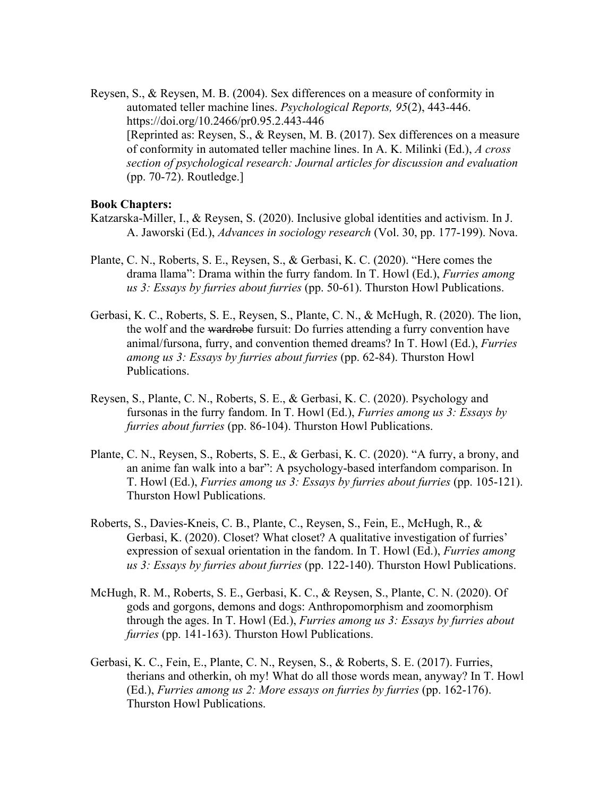Reysen, S., & Reysen, M. B. (2004). Sex differences on a measure of conformity in automated teller machine lines. *Psychological Reports, 95*(2), 443-446. https://doi.org/10.2466/pr0.95.2.443-446 [Reprinted as: Reysen, S., & Reysen, M. B. (2017). Sex differences on a measure of conformity in automated teller machine lines. In A. K. Milinki (Ed.), *A cross section of psychological research: Journal articles for discussion and evaluation* (pp. 70-72). Routledge.]

## **Book Chapters:**

- Katzarska-Miller, I., & Reysen, S. (2020). Inclusive global identities and activism. In J. A. Jaworski (Ed.), *Advances in sociology research* (Vol. 30, pp. 177-199). Nova.
- Plante, C. N., Roberts, S. E., Reysen, S., & Gerbasi, K. C. (2020). "Here comes the drama llama": Drama within the furry fandom. In T. Howl (Ed.), *Furries among us 3: Essays by furries about furries* (pp. 50-61). Thurston Howl Publications.
- Gerbasi, K. C., Roberts, S. E., Reysen, S., Plante, C. N., & McHugh, R. (2020). The lion, the wolf and the wardrobe fursuit: Do furries attending a furry convention have animal/fursona, furry, and convention themed dreams? In T. Howl (Ed.), *Furries among us 3: Essays by furries about furries* (pp. 62-84). Thurston Howl Publications.
- Reysen, S., Plante, C. N., Roberts, S. E., & Gerbasi, K. C. (2020). Psychology and fursonas in the furry fandom. In T. Howl (Ed.), *Furries among us 3: Essays by furries about furries* (pp. 86-104). Thurston Howl Publications.
- Plante, C. N., Reysen, S., Roberts, S. E., & Gerbasi, K. C. (2020). "A furry, a brony, and an anime fan walk into a bar": A psychology-based interfandom comparison. In T. Howl (Ed.), *Furries among us 3: Essays by furries about furries* (pp. 105-121). Thurston Howl Publications.
- Roberts, S., Davies-Kneis, C. B., Plante, C., Reysen, S., Fein, E., McHugh, R., & Gerbasi, K. (2020). Closet? What closet? A qualitative investigation of furries' expression of sexual orientation in the fandom. In T. Howl (Ed.), *Furries among us 3: Essays by furries about furries* (pp. 122-140). Thurston Howl Publications.
- McHugh, R. M., Roberts, S. E., Gerbasi, K. C., & Reysen, S., Plante, C. N. (2020). Of gods and gorgons, demons and dogs: Anthropomorphism and zoomorphism through the ages. In T. Howl (Ed.), *Furries among us 3: Essays by furries about furries* (pp. 141-163). Thurston Howl Publications.
- Gerbasi, K. C., Fein, E., Plante, C. N., Reysen, S., & Roberts, S. E. (2017). Furries, therians and otherkin, oh my! What do all those words mean, anyway? In T. Howl (Ed.), *Furries among us 2: More essays on furries by furries* (pp. 162-176). Thurston Howl Publications.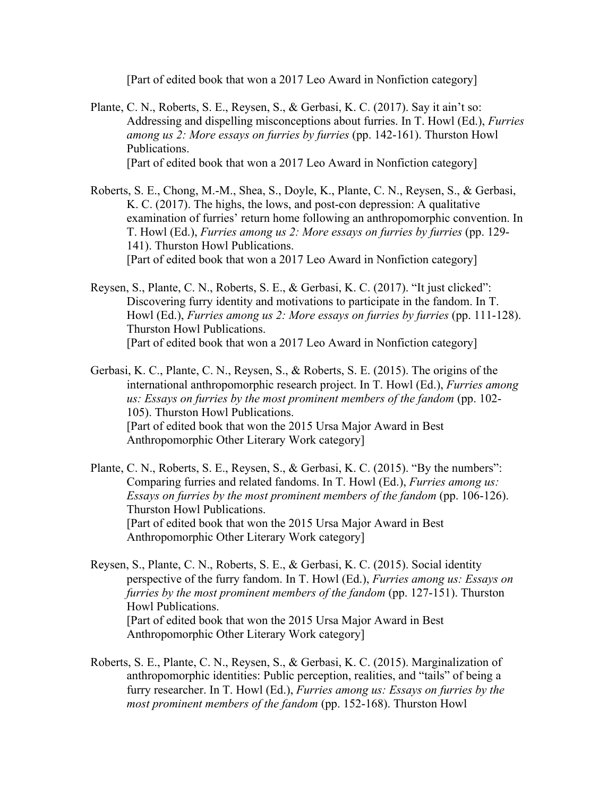[Part of edited book that won a 2017 Leo Award in Nonfiction category]

- Plante, C. N., Roberts, S. E., Reysen, S., & Gerbasi, K. C. (2017). Say it ain't so: Addressing and dispelling misconceptions about furries. In T. Howl (Ed.), *Furries among us 2: More essays on furries by furries* (pp. 142-161). Thurston Howl Publications. [Part of edited book that won a 2017 Leo Award in Nonfiction category]
- Roberts, S. E., Chong, M.-M., Shea, S., Doyle, K., Plante, C. N., Reysen, S., & Gerbasi, K. C. (2017). The highs, the lows, and post-con depression: A qualitative examination of furries' return home following an anthropomorphic convention. In T. Howl (Ed.), *Furries among us 2: More essays on furries by furries* (pp. 129- 141). Thurston Howl Publications. [Part of edited book that won a 2017 Leo Award in Nonfiction category]
- Reysen, S., Plante, C. N., Roberts, S. E., & Gerbasi, K. C. (2017). "It just clicked": Discovering furry identity and motivations to participate in the fandom. In T. Howl (Ed.), *Furries among us 2: More essays on furries by furries* (pp. 111-128). Thurston Howl Publications. [Part of edited book that won a 2017 Leo Award in Nonfiction category]
- Gerbasi, K. C., Plante, C. N., Reysen, S., & Roberts, S. E. (2015). The origins of the international anthropomorphic research project. In T. Howl (Ed.), *Furries among us: Essays on furries by the most prominent members of the fandom* (pp. 102- 105). Thurston Howl Publications. [Part of edited book that won the 2015 Ursa Major Award in Best Anthropomorphic Other Literary Work category]
- Plante, C. N., Roberts, S. E., Reysen, S., & Gerbasi, K. C. (2015). "By the numbers": Comparing furries and related fandoms. In T. Howl (Ed.), *Furries among us: Essays on furries by the most prominent members of the fandom* (pp. 106-126). Thurston Howl Publications. [Part of edited book that won the 2015 Ursa Major Award in Best Anthropomorphic Other Literary Work category]
- Reysen, S., Plante, C. N., Roberts, S. E., & Gerbasi, K. C. (2015). Social identity perspective of the furry fandom. In T. Howl (Ed.), *Furries among us: Essays on furries by the most prominent members of the fandom* (pp. 127-151). Thurston Howl Publications. [Part of edited book that won the 2015 Ursa Major Award in Best Anthropomorphic Other Literary Work category]
- Roberts, S. E., Plante, C. N., Reysen, S., & Gerbasi, K. C. (2015). Marginalization of anthropomorphic identities: Public perception, realities, and "tails" of being a furry researcher. In T. Howl (Ed.), *Furries among us: Essays on furries by the most prominent members of the fandom* (pp. 152-168). Thurston Howl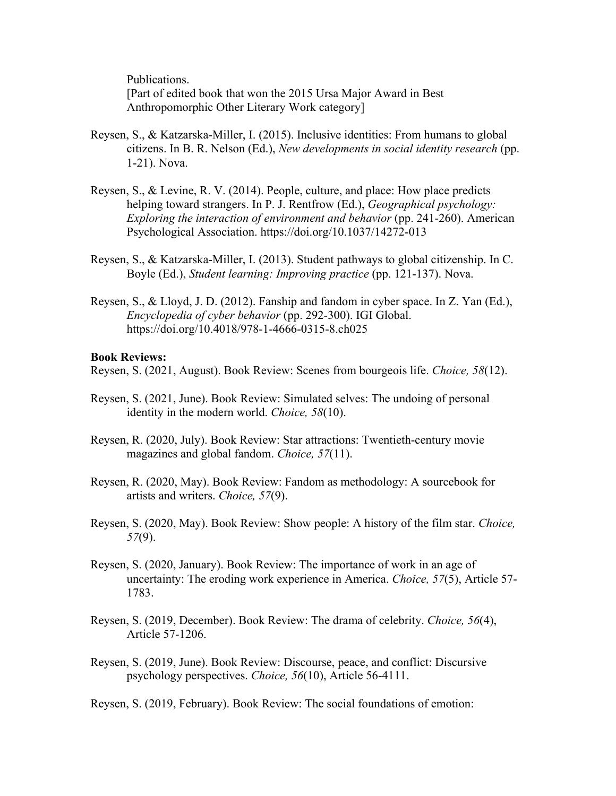Publications. [Part of edited book that won the 2015 Ursa Major Award in Best Anthropomorphic Other Literary Work category]

- Reysen, S., & Katzarska-Miller, I. (2015). Inclusive identities: From humans to global citizens. In B. R. Nelson (Ed.), *New developments in social identity research* (pp. 1-21). Nova.
- Reysen, S., & Levine, R. V. (2014). People, culture, and place: How place predicts helping toward strangers. In P. J. Rentfrow (Ed.), *Geographical psychology: Exploring the interaction of environment and behavior* (pp. 241-260). American Psychological Association. https://doi.org/10.1037/14272-013
- Reysen, S., & Katzarska-Miller, I. (2013). Student pathways to global citizenship. In C. Boyle (Ed.), *Student learning: Improving practice* (pp. 121-137). Nova.
- Reysen, S., & Lloyd, J. D. (2012). Fanship and fandom in cyber space. In Z. Yan (Ed.), *Encyclopedia of cyber behavior* (pp. 292-300). IGI Global. https://doi.org/10.4018/978-1-4666-0315-8.ch025

#### **Book Reviews:**

Reysen, S. (2021, August). Book Review: Scenes from bourgeois life. *Choice, 58*(12).

- Reysen, S. (2021, June). Book Review: Simulated selves: The undoing of personal identity in the modern world. *Choice, 58*(10).
- Reysen, R. (2020, July). Book Review: Star attractions: Twentieth-century movie magazines and global fandom. *Choice, 57*(11).
- Reysen, R. (2020, May). Book Review: Fandom as methodology: A sourcebook for artists and writers. *Choice, 57*(9).
- Reysen, S. (2020, May). Book Review: Show people: A history of the film star. *Choice, 57*(9).
- Reysen, S. (2020, January). Book Review: The importance of work in an age of uncertainty: The eroding work experience in America. *Choice, 57*(5), Article 57- 1783.
- Reysen, S. (2019, December). Book Review: The drama of celebrity. *Choice, 56*(4), Article 57-1206.
- Reysen, S. (2019, June). Book Review: Discourse, peace, and conflict: Discursive psychology perspectives. *Choice, 56*(10), Article 56-4111.

Reysen, S. (2019, February). Book Review: The social foundations of emotion: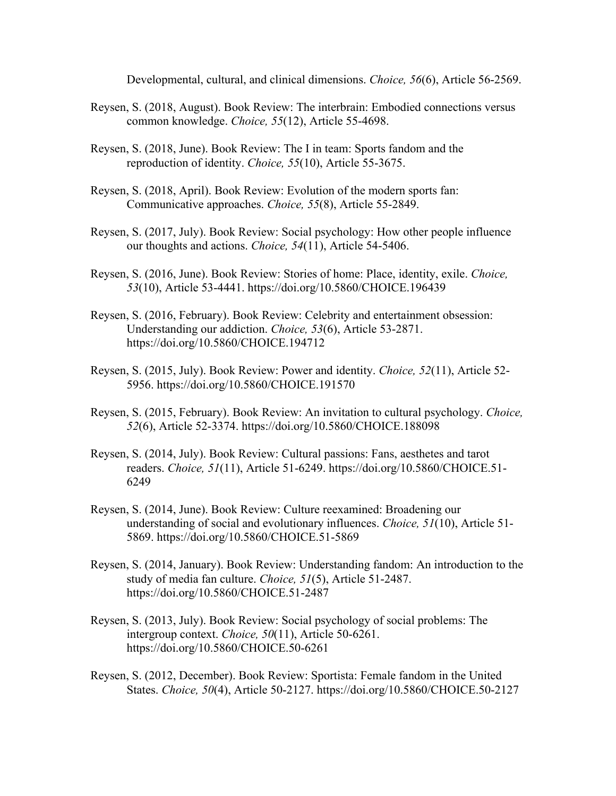Developmental, cultural, and clinical dimensions. *Choice, 56*(6), Article 56-2569.

- Reysen, S. (2018, August). Book Review: The interbrain: Embodied connections versus common knowledge. *Choice, 55*(12), Article 55-4698.
- Reysen, S. (2018, June). Book Review: The I in team: Sports fandom and the reproduction of identity. *Choice, 55*(10), Article 55-3675.
- Reysen, S. (2018, April). Book Review: Evolution of the modern sports fan: Communicative approaches. *Choice, 55*(8), Article 55-2849.
- Reysen, S. (2017, July). Book Review: Social psychology: How other people influence our thoughts and actions. *Choice, 54*(11), Article 54-5406.
- Reysen, S. (2016, June). Book Review: Stories of home: Place, identity, exile. *Choice, 53*(10), Article 53-4441. https://doi.org/10.5860/CHOICE.196439
- Reysen, S. (2016, February). Book Review: Celebrity and entertainment obsession: Understanding our addiction. *Choice, 53*(6), Article 53-2871. https://doi.org/10.5860/CHOICE.194712
- Reysen, S. (2015, July). Book Review: Power and identity. *Choice, 52*(11), Article 52- 5956. https://doi.org/10.5860/CHOICE.191570
- Reysen, S. (2015, February). Book Review: An invitation to cultural psychology. *Choice, 52*(6), Article 52-3374. https://doi.org/10.5860/CHOICE.188098
- Reysen, S. (2014, July). Book Review: Cultural passions: Fans, aesthetes and tarot readers. *Choice, 51*(11), Article 51-6249. https://doi.org/10.5860/CHOICE.51- 6249
- Reysen, S. (2014, June). Book Review: Culture reexamined: Broadening our understanding of social and evolutionary influences. *Choice, 51*(10), Article 51- 5869. https://doi.org/10.5860/CHOICE.51-5869
- Reysen, S. (2014, January). Book Review: Understanding fandom: An introduction to the study of media fan culture. *Choice, 51*(5), Article 51-2487. https://doi.org/10.5860/CHOICE.51-2487
- Reysen, S. (2013, July). Book Review: Social psychology of social problems: The intergroup context. *Choice, 50*(11), Article 50-6261. https://doi.org/10.5860/CHOICE.50-6261
- Reysen, S. (2012, December). Book Review: Sportista: Female fandom in the United States. *Choice, 50*(4), Article 50-2127. https://doi.org/10.5860/CHOICE.50-2127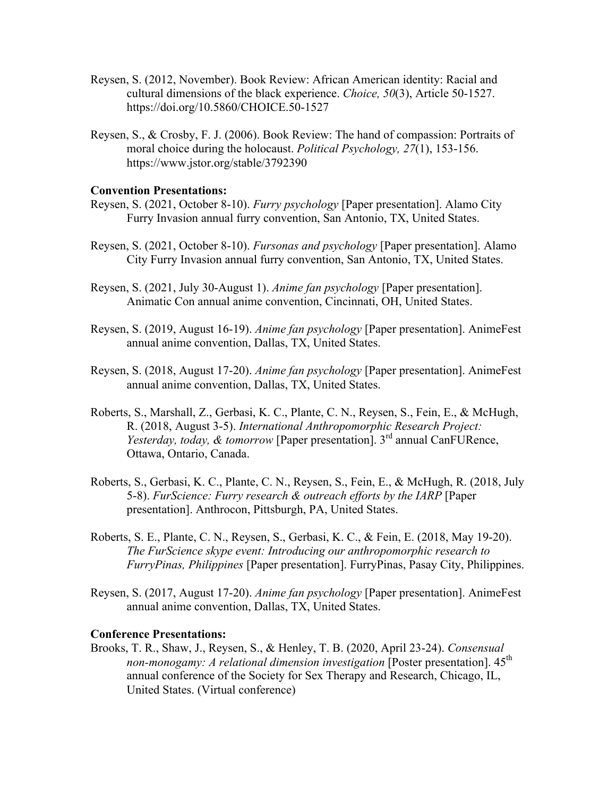- Reysen, S. (2012, November). Book Review: African American identity: Racial and cultural dimensions of the black experience. *Choice, 50*(3), Article 50-1527. https://doi.org/10.5860/CHOICE.50-1527
- Reysen, S., & Crosby, F. J. (2006). Book Review: The hand of compassion: Portraits of moral choice during the holocaust. *Political Psychology, 27*(1), 153-156. https://www.jstor.org/stable/3792390

#### **Convention Presentations:**

- Reysen, S. (2021, October 8-10). *Furry psychology* [Paper presentation]. Alamo City Furry Invasion annual furry convention, San Antonio, TX, United States.
- Reysen, S. (2021, October 8-10). *Fursonas and psychology* [Paper presentation]. Alamo City Furry Invasion annual furry convention, San Antonio, TX, United States.
- Reysen, S. (2021, July 30-August 1). *Anime fan psychology* [Paper presentation]. Animatic Con annual anime convention, Cincinnati, OH, United States.
- Reysen, S. (2019, August 16-19). *Anime fan psychology* [Paper presentation]. AnimeFest annual anime convention, Dallas, TX, United States.
- Reysen, S. (2018, August 17-20). *Anime fan psychology* [Paper presentation]. AnimeFest annual anime convention, Dallas, TX, United States.
- Roberts, S., Marshall, Z., Gerbasi, K. C., Plante, C. N., Reysen, S., Fein, E., & McHugh, R. (2018, August 3-5). *International Anthropomorphic Research Project: Yesterday, today, & tomorrow* [Paper presentation]. 3<sup>rd</sup> annual CanFURence, Ottawa, Ontario, Canada.
- Roberts, S., Gerbasi, K. C., Plante, C. N., Reysen, S., Fein, E., & McHugh, R. (2018, July 5-8). *FurScience: Furry research & outreach efforts by the IARP* [Paper presentation]. Anthrocon, Pittsburgh, PA, United States.
- Roberts, S. E., Plante, C. N., Reysen, S., Gerbasi, K. C., & Fein, E. (2018, May 19-20). *The FurScience skype event: Introducing our anthropomorphic research to FurryPinas, Philippines* [Paper presentation]. FurryPinas, Pasay City, Philippines.
- Reysen, S. (2017, August 17-20). *Anime fan psychology* [Paper presentation]. AnimeFest annual anime convention, Dallas, TX, United States.

#### **Conference Presentations:**

Brooks, T. R., Shaw, J., Reysen, S., & Henley, T. B. (2020, April 23-24). *Consensual non-monogamy: A relational dimension investigation* [Poster presentation]. 45<sup>th</sup> annual conference of the Society for Sex Therapy and Research, Chicago, IL, United States. (Virtual conference)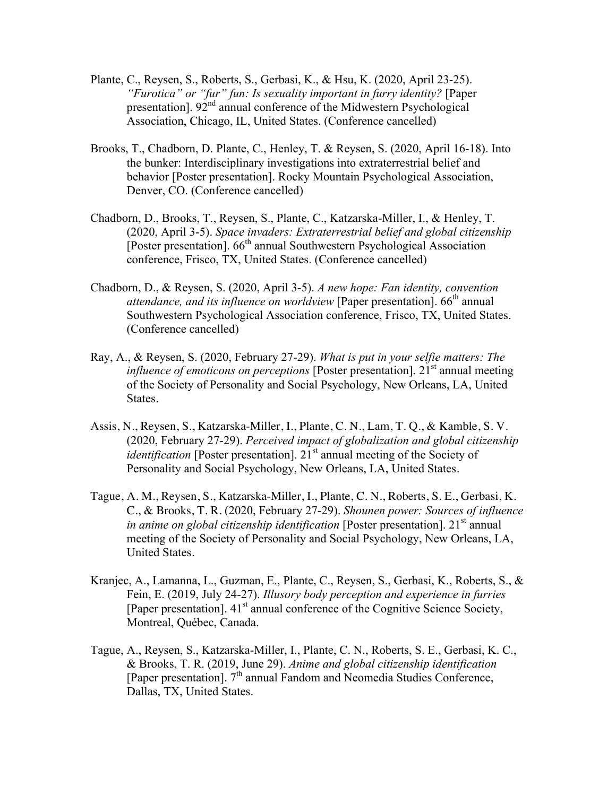- Plante, C., Reysen, S., Roberts, S., Gerbasi, K., & Hsu, K. (2020, April 23-25). *"Furotica" or "fur" fun: Is sexuality important in furry identity?* [Paper presentation].  $92<sup>nd</sup>$  annual conference of the Midwestern Psychological Association, Chicago, IL, United States. (Conference cancelled)
- Brooks, T., Chadborn, D. Plante, C., Henley, T. & Reysen, S. (2020, April 16-18). Into the bunker: Interdisciplinary investigations into extraterrestrial belief and behavior [Poster presentation]. Rocky Mountain Psychological Association, Denver, CO. (Conference cancelled)
- Chadborn, D., Brooks, T., Reysen, S., Plante, C., Katzarska-Miller, I., & Henley, T. (2020, April 3-5). *Space invaders: Extraterrestrial belief and global citizenship*  [Poster presentation].  $66<sup>th</sup>$  annual Southwestern Psychological Association conference, Frisco, TX, United States. (Conference cancelled)
- Chadborn, D., & Reysen, S. (2020, April 3-5). *A new hope: Fan identity, convention*  attendance, and its influence on worldview [Paper presentation]. 66<sup>th</sup> annual Southwestern Psychological Association conference, Frisco, TX, United States. (Conference cancelled)
- Ray, A., & Reysen, S. (2020, February 27-29). *What is put in your selfie matters: The influence of emoticons on perceptions* [Poster presentation]. 21<sup>st</sup> annual meeting of the Society of Personality and Social Psychology, New Orleans, LA, United States.
- Assis, N., Reysen, S., Katzarska-Miller, I., Plante, C. N., Lam, T. Q., & Kamble, S. V. (2020, February 27-29). *Perceived impact of globalization and global citizenship identification* [Poster presentation].  $21^{st}$  annual meeting of the Society of Personality and Social Psychology, New Orleans, LA, United States.
- Tague, A. M., Reysen, S., Katzarska-Miller, I., Plante, C. N., Roberts, S. E., Gerbasi, K. C., & Brooks, T. R. (2020, February 27-29). *Shounen power: Sources of influence in anime on global citizenship identification* [Poster presentation]. 21<sup>st</sup> annual meeting of the Society of Personality and Social Psychology, New Orleans, LA, United States.
- Kranjec, A., Lamanna, L., Guzman, E., Plante, C., Reysen, S., Gerbasi, K., Roberts, S., & Fein, E. (2019, July 24-27). *Illusory body perception and experience in furries* [Paper presentation].  $41<sup>st</sup>$  annual conference of the Cognitive Science Society, Montreal, Québec, Canada.
- Tague, A., Reysen, S., Katzarska-Miller, I., Plante, C. N., Roberts, S. E., Gerbasi, K. C., & Brooks, T. R. (2019, June 29). *Anime and global citizenship identification* [Paper presentation].  $7^{\text{th}}$  annual Fandom and Neomedia Studies Conference, Dallas, TX, United States.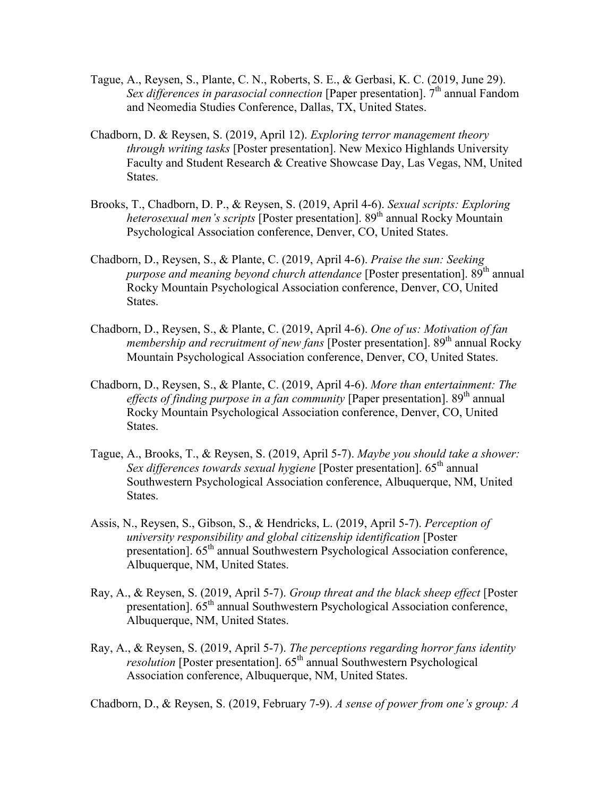- Tague, A., Reysen, S., Plante, C. N., Roberts, S. E., & Gerbasi, K. C. (2019, June 29). *Sex differences in parasocial connection* [Paper presentation]. 7<sup>th</sup> annual Fandom and Neomedia Studies Conference, Dallas, TX, United States.
- Chadborn, D. & Reysen, S. (2019, April 12). *Exploring terror management theory through writing tasks* [Poster presentation]. New Mexico Highlands University Faculty and Student Research & Creative Showcase Day, Las Vegas, NM, United States.
- Brooks, T., Chadborn, D. P., & Reysen, S. (2019, April 4-6). *Sexual scripts: Exploring heterosexual men's scripts* [Poster presentation]. 89<sup>th</sup> annual Rocky Mountain Psychological Association conference, Denver, CO, United States.
- Chadborn, D., Reysen, S., & Plante, C. (2019, April 4-6). *Praise the sun: Seeking purpose and meaning beyond church attendance* [Poster presentation].  $89<sup>th</sup>$  annual Rocky Mountain Psychological Association conference, Denver, CO, United States.
- Chadborn, D., Reysen, S., & Plante, C. (2019, April 4-6). *One of us: Motivation of fan membership and recruitment of new fans* [Poster presentation]. 89<sup>th</sup> annual Rocky Mountain Psychological Association conference, Denver, CO, United States.
- Chadborn, D., Reysen, S., & Plante, C. (2019, April 4-6). *More than entertainment: The effects of finding purpose in a fan community* [Paper presentation]. 89<sup>th</sup> annual Rocky Mountain Psychological Association conference, Denver, CO, United States.
- Tague, A., Brooks, T., & Reysen, S. (2019, April 5-7). *Maybe you should take a shower: Sex differences towards sexual hygiene* [Poster presentation]. 65<sup>th</sup> annual Southwestern Psychological Association conference, Albuquerque, NM, United States.
- Assis, N., Reysen, S., Gibson, S., & Hendricks, L. (2019, April 5-7). *Perception of university responsibility and global citizenship identification* [Poster presentation]. 65<sup>th</sup> annual Southwestern Psychological Association conference, Albuquerque, NM, United States.
- Ray, A., & Reysen, S. (2019, April 5-7). *Group threat and the black sheep effect* [Poster presentation]. 65<sup>th</sup> annual Southwestern Psychological Association conference, Albuquerque, NM, United States.
- Ray, A., & Reysen, S. (2019, April 5-7). *The perceptions regarding horror fans identity resolution* [Poster presentation]. 65<sup>th</sup> annual Southwestern Psychological Association conference, Albuquerque, NM, United States.

Chadborn, D., & Reysen, S. (2019, February 7-9). *A sense of power from one's group: A*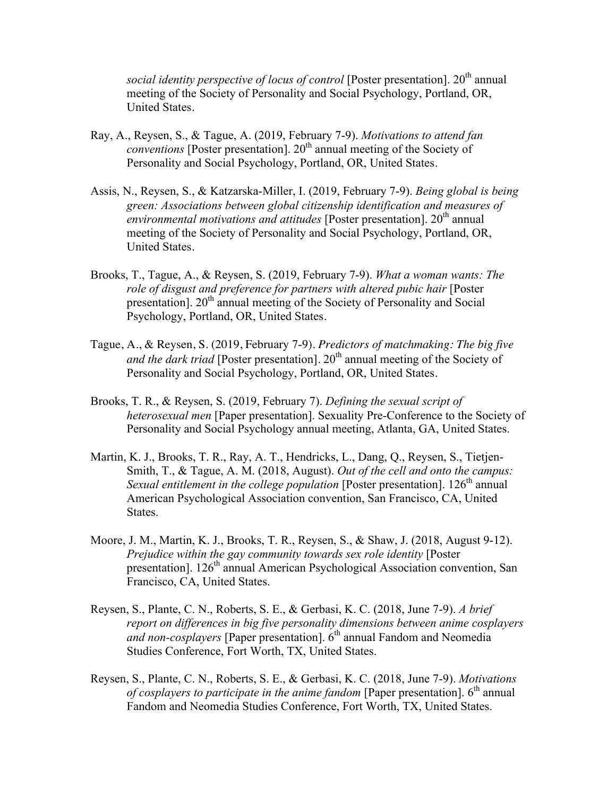*social identity perspective of locus of control* [Poster presentation]. 20<sup>th</sup> annual meeting of the Society of Personality and Social Psychology, Portland, OR, United States.

- Ray, A., Reysen, S., & Tague, A. (2019, February 7-9). *Motivations to attend fan conventions* [Poster presentation]. 20<sup>th</sup> annual meeting of the Society of Personality and Social Psychology, Portland, OR, United States.
- Assis, N., Reysen, S., & Katzarska-Miller, I. (2019, February 7-9). *Being global is being green: Associations between global citizenship identification and measures of*  environmental motivations and attitudes [Poster presentation]. 20<sup>th</sup> annual meeting of the Society of Personality and Social Psychology, Portland, OR, United States.
- Brooks, T., Tague, A., & Reysen, S. (2019, February 7-9). *What a woman wants: The role of disgust and preference for partners with altered pubic hair* [Poster presentation]. 20<sup>th</sup> annual meeting of the Society of Personality and Social Psychology, Portland, OR, United States.
- Tague, A., & Reysen, S. (2019, February 7-9). *Predictors of matchmaking: The big five and the dark triad* [Poster presentation]. 20<sup>th</sup> annual meeting of the Society of Personality and Social Psychology, Portland, OR, United States.
- Brooks, T. R., & Reysen, S. (2019, February 7). *Defining the sexual script of heterosexual men* [Paper presentation]. Sexuality Pre-Conference to the Society of Personality and Social Psychology annual meeting, Atlanta, GA, United States.
- Martin, K. J., Brooks, T. R., Ray, A. T., Hendricks, L., Dang, Q., Reysen, S., Tietjen-Smith, T., & Tague, A. M. (2018, August). *Out of the cell and onto the campus: Sexual entitlement in the college population* [Poster presentation]. 126<sup>th</sup> annual American Psychological Association convention, San Francisco, CA, United States.
- Moore, J. M., Martin, K. J., Brooks, T. R., Reysen, S., & Shaw, J. (2018, August 9-12). *Prejudice within the gay community towards sex role identity* [Poster presentation]. 126<sup>th</sup> annual American Psychological Association convention, San Francisco, CA, United States.
- Reysen, S., Plante, C. N., Roberts, S. E., & Gerbasi, K. C. (2018, June 7-9). *A brief report on differences in big five personality dimensions between anime cosplayers and non-cosplayers* [Paper presentation]. 6<sup>th</sup> annual Fandom and Neomedia Studies Conference, Fort Worth, TX, United States.
- Reysen, S., Plante, C. N., Roberts, S. E., & Gerbasi, K. C. (2018, June 7-9). *Motivations of cosplayers to participate in the anime fandom* [Paper presentation]. 6<sup>th</sup> annual Fandom and Neomedia Studies Conference, Fort Worth, TX, United States.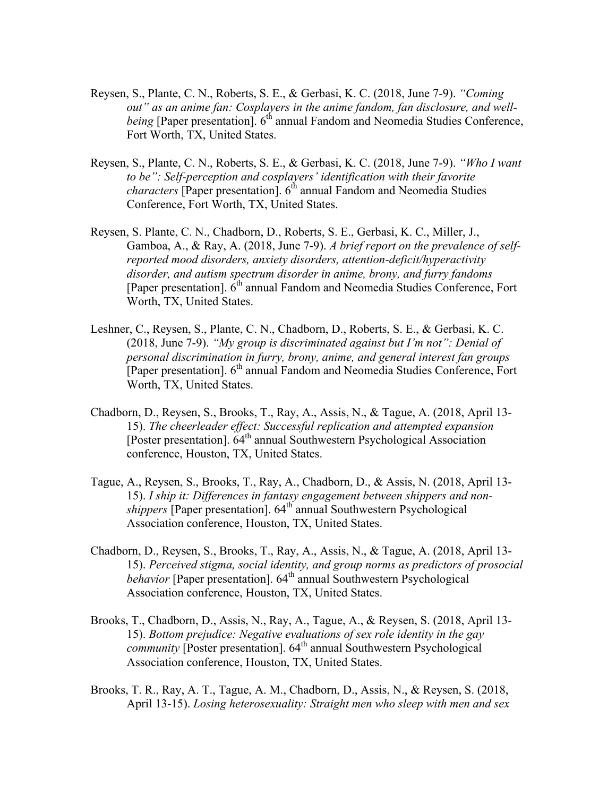- Reysen, S., Plante, C. N., Roberts, S. E., & Gerbasi, K. C. (2018, June 7-9). *"Coming out" as an anime fan: Cosplayers in the anime fandom, fan disclosure, and wellbeing* [Paper presentation]. 6<sup>th</sup> annual Fandom and Neomedia Studies Conference, Fort Worth, TX, United States.
- Reysen, S., Plante, C. N., Roberts, S. E., & Gerbasi, K. C. (2018, June 7-9). *"Who I want to be": Self-perception and cosplayers' identification with their favorite characters* [Paper presentation]. 6<sup>th</sup> annual Fandom and Neomedia Studies Conference, Fort Worth, TX, United States.
- Reysen, S. Plante, C. N., Chadborn, D., Roberts, S. E., Gerbasi, K. C., Miller, J., Gamboa, A., & Ray, A. (2018, June 7-9). *A brief report on the prevalence of selfreported mood disorders, anxiety disorders, attention-deficit/hyperactivity disorder, and autism spectrum disorder in anime, brony, and furry fandoms* [Paper presentation].  $6<sup>th</sup>$  annual Fandom and Neomedia Studies Conference, Fort Worth, TX, United States.
- Leshner, C., Reysen, S., Plante, C. N., Chadborn, D., Roberts, S. E., & Gerbasi, K. C. (2018, June 7-9). *"My group is discriminated against but I'm not": Denial of personal discrimination in furry, brony, anime, and general interest fan groups* [Paper presentation].  $6<sup>th</sup>$  annual Fandom and Neomedia Studies Conference, Fort Worth, TX, United States.
- Chadborn, D., Reysen, S., Brooks, T., Ray, A., Assis, N., & Tague, A. (2018, April 13- 15). *The cheerleader effect: Successful replication and attempted expansion* [Poster presentation].  $64^{\text{th}}$  annual Southwestern Psychological Association conference, Houston, TX, United States.
- Tague, A., Reysen, S., Brooks, T., Ray, A., Chadborn, D., & Assis, N. (2018, April 13- 15). *I ship it: Differences in fantasy engagement between shippers and nonshippers* [Paper presentation]. 64<sup>th</sup> annual Southwestern Psychological Association conference, Houston, TX, United States.
- Chadborn, D., Reysen, S., Brooks, T., Ray, A., Assis, N., & Tague, A. (2018, April 13- 15). *Perceived stigma, social identity, and group norms as predictors of prosocial behavior* [Paper presentation]. 64<sup>th</sup> annual Southwestern Psychological<sup>1</sup> Association conference, Houston, TX, United States.
- Brooks, T., Chadborn, D., Assis, N., Ray, A., Tague, A., & Reysen, S. (2018, April 13- 15). *Bottom prejudice: Negative evaluations of sex role identity in the gay community* [Poster presentation]. 64<sup>th</sup> annual Southwestern Psychological Association conference, Houston, TX, United States.
- Brooks, T. R., Ray, A. T., Tague, A. M., Chadborn, D., Assis, N., & Reysen, S. (2018, April 13-15). *Losing heterosexuality: Straight men who sleep with men and sex*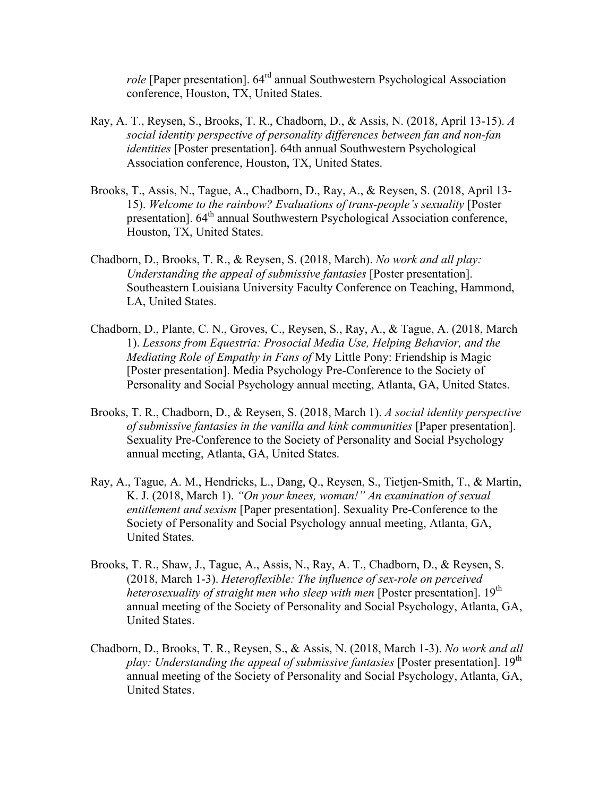*role* [Paper presentation]. 64rd annual Southwestern Psychological Association conference, Houston, TX, United States.

- Ray, A. T., Reysen, S., Brooks, T. R., Chadborn, D., & Assis, N. (2018, April 13-15). *A social identity perspective of personality differences between fan and non-fan identities* [Poster presentation]. 64th annual Southwestern Psychological Association conference, Houston, TX, United States.
- Brooks, T., Assis, N., Tague, A., Chadborn, D., Ray, A., & Reysen, S. (2018, April 13- 15). *Welcome to the rainbow? Evaluations of trans-people's sexuality* [Poster presentation]. 64<sup>th</sup> annual Southwestern Psychological Association conference, Houston, TX, United States.
- Chadborn, D., Brooks, T. R., & Reysen, S. (2018, March). *No work and all play: Understanding the appeal of submissive fantasies* [Poster presentation]. Southeastern Louisiana University Faculty Conference on Teaching, Hammond, LA, United States.
- Chadborn, D., Plante, C. N., Groves, C., Reysen, S., Ray, A., & Tague, A. (2018, March 1). *Lessons from Equestria: Prosocial Media Use, Helping Behavior, and the Mediating Role of Empathy in Fans of* My Little Pony: Friendship is Magic [Poster presentation]. Media Psychology Pre-Conference to the Society of Personality and Social Psychology annual meeting, Atlanta, GA, United States.
- Brooks, T. R., Chadborn, D., & Reysen, S. (2018, March 1). *A social identity perspective of submissive fantasies in the vanilla and kink communities* [Paper presentation]. Sexuality Pre-Conference to the Society of Personality and Social Psychology annual meeting, Atlanta, GA, United States.
- Ray, A., Tague, A. M., Hendricks, L., Dang, Q., Reysen, S., Tietjen-Smith, T., & Martin, K. J. (2018, March 1). *"On your knees, woman!" An examination of sexual entitlement and sexism* [Paper presentation]. Sexuality Pre-Conference to the Society of Personality and Social Psychology annual meeting, Atlanta, GA, United States.
- Brooks, T. R., Shaw, J., Tague, A., Assis, N., Ray, A. T., Chadborn, D., & Reysen, S. (2018, March 1-3). *Heteroflexible: The influence of sex-role on perceived heterosexuality of straight men who sleep with men* [Poster presentation]. 19<sup>th</sup> annual meeting of the Society of Personality and Social Psychology, Atlanta, GA, United States.
- Chadborn, D., Brooks, T. R., Reysen, S., & Assis, N. (2018, March 1-3). *No work and all play: Understanding the appeal of submissive fantasies* [Poster presentation]. 19<sup>th</sup> annual meeting of the Society of Personality and Social Psychology, Atlanta, GA, United States.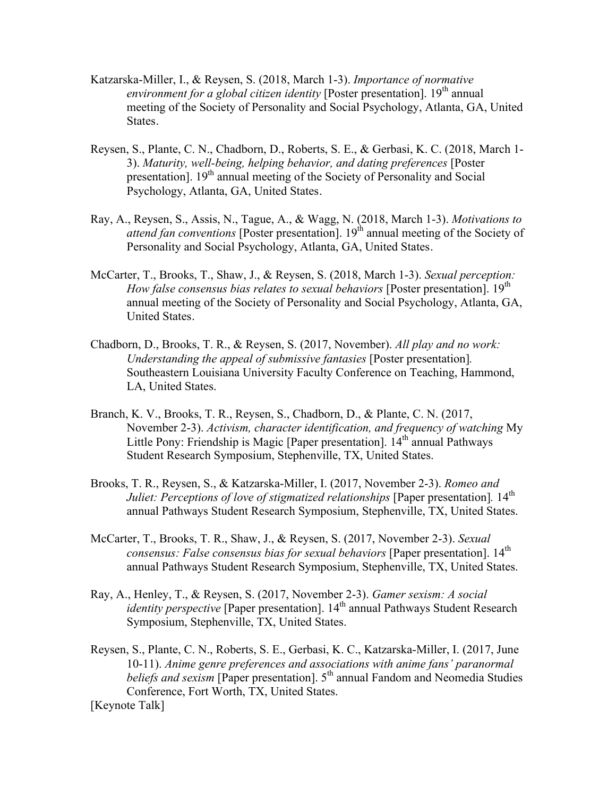- Katzarska-Miller, I., & Reysen, S. (2018, March 1-3). *Importance of normative environment for a global citizen identity* [Poster presentation]. 19<sup>th</sup> annual meeting of the Society of Personality and Social Psychology, Atlanta, GA, United States.
- Reysen, S., Plante, C. N., Chadborn, D., Roberts, S. E., & Gerbasi, K. C. (2018, March 1- 3). *Maturity, well-being, helping behavior, and dating preferences* [Poster presentation]. 19<sup>th</sup> annual meeting of the Society of Personality and Social Psychology, Atlanta, GA, United States.
- Ray, A., Reysen, S., Assis, N., Tague, A., & Wagg, N. (2018, March 1-3). *Motivations to attend fan conventions* [Poster presentation]. 19<sup>th</sup> annual meeting of the Society of Personality and Social Psychology, Atlanta, GA, United States.
- McCarter, T., Brooks, T., Shaw, J., & Reysen, S. (2018, March 1-3). *Sexual perception: How false consensus bias relates to sexual behaviors* [Poster presentation]. 19<sup>th</sup> annual meeting of the Society of Personality and Social Psychology, Atlanta, GA, United States.
- Chadborn, D., Brooks, T. R., & Reysen, S. (2017, November). *All play and no work: Understanding the appeal of submissive fantasies* [Poster presentation]*.* Southeastern Louisiana University Faculty Conference on Teaching, Hammond, LA, United States.
- Branch, K. V., Brooks, T. R., Reysen, S., Chadborn, D., & Plante, C. N. (2017, November 2-3). *Activism, character identification, and frequency of watching* My Little Pony: Friendship is Magic [Paper presentation]. 14<sup>th</sup> annual Pathways Student Research Symposium, Stephenville, TX, United States.
- Brooks, T. R., Reysen, S., & Katzarska-Miller, I. (2017, November 2-3). *Romeo and Juliet: Perceptions of love of stigmatized relationships* [Paper presentation]. 14<sup>th</sup> annual Pathways Student Research Symposium, Stephenville, TX, United States.
- McCarter, T., Brooks, T. R., Shaw, J., & Reysen, S. (2017, November 2-3). *Sexual consensus: False consensus bias for sexual behaviors* [Paper presentation]. 14th annual Pathways Student Research Symposium, Stephenville, TX, United States.
- Ray, A., Henley, T., & Reysen, S. (2017, November 2-3). *Gamer sexism: A social identity perspective* [Paper presentation]. 14<sup>th</sup> annual Pathways Student Research Symposium, Stephenville, TX, United States.
- Reysen, S., Plante, C. N., Roberts, S. E., Gerbasi, K. C., Katzarska-Miller, I. (2017, June 10-11). *Anime genre preferences and associations with anime fans' paranormal beliefs and sexism* [Paper presentation]. 5<sup>th</sup> annual Fandom and Neomedia Studies Conference, Fort Worth, TX, United States. [Keynote Talk]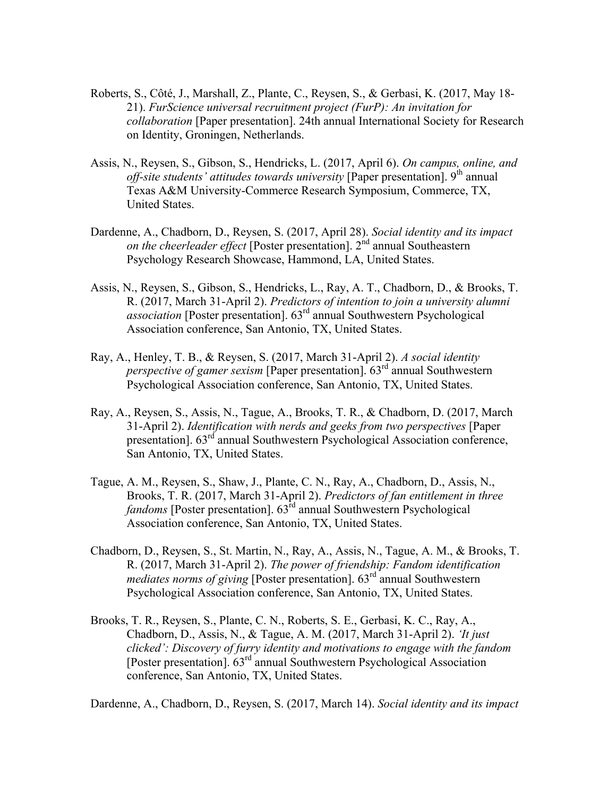- Roberts, S., Côté, J., Marshall, Z., Plante, C., Reysen, S., & Gerbasi, K. (2017, May 18- 21). *FurScience universal recruitment project (FurP): An invitation for collaboration* [Paper presentation]. 24th annual International Society for Research on Identity, Groningen, Netherlands.
- Assis, N., Reysen, S., Gibson, S., Hendricks, L. (2017, April 6). *On campus, online, and off-site students' attitudes towards university* [Paper presentation]. 9<sup>th</sup> annual Texas A&M University-Commerce Research Symposium, Commerce, TX, United States.
- Dardenne, A., Chadborn, D., Reysen, S. (2017, April 28). *Social identity and its impact on the cheerleader effect* [Poster presentation]. 2<sup>nd</sup> annual Southeastern Psychology Research Showcase, Hammond, LA, United States.
- Assis, N., Reysen, S., Gibson, S., Hendricks, L., Ray, A. T., Chadborn, D., & Brooks, T. R. (2017, March 31-April 2). *Predictors of intention to join a university alumni association* [Poster presentation]. 63rd annual Southwestern Psychological Association conference, San Antonio, TX, United States.
- Ray, A., Henley, T. B., & Reysen, S. (2017, March 31-April 2). *A social identity perspective of gamer sexism* [Paper presentation].  $63<sup>rd</sup>$  annual Southwestern Psychological Association conference, San Antonio, TX, United States.
- Ray, A., Reysen, S., Assis, N., Tague, A., Brooks, T. R., & Chadborn, D. (2017, March 31-April 2). *Identification with nerds and geeks from two perspectives* [Paper presentation].  $63<sup>rd</sup>$  annual Southwestern Psychological Association conference, San Antonio, TX, United States.
- Tague, A. M., Reysen, S., Shaw, J., Plante, C. N., Ray, A., Chadborn, D., Assis, N., Brooks, T. R. (2017, March 31-April 2). *Predictors of fan entitlement in three fandoms* [Poster presentation].  $63<sup>rd</sup>$  annual Southwestern Psychological Association conference, San Antonio, TX, United States.
- Chadborn, D., Reysen, S., St. Martin, N., Ray, A., Assis, N., Tague, A. M., & Brooks, T. R. (2017, March 31-April 2). *The power of friendship: Fandom identification mediates norms of giving* [Poster presentation]. 63<sup>rd</sup> annual Southwestern Psychological Association conference, San Antonio, TX, United States.
- Brooks, T. R., Reysen, S., Plante, C. N., Roberts, S. E., Gerbasi, K. C., Ray, A., Chadborn, D., Assis, N., & Tague, A. M. (2017, March 31-April 2). *'It just clicked': Discovery of furry identity and motivations to engage with the fandom* [Poster presentation].  $63^{rd}$  annual Southwestern Psychological Association conference, San Antonio, TX, United States.

Dardenne, A., Chadborn, D., Reysen, S. (2017, March 14). *Social identity and its impact*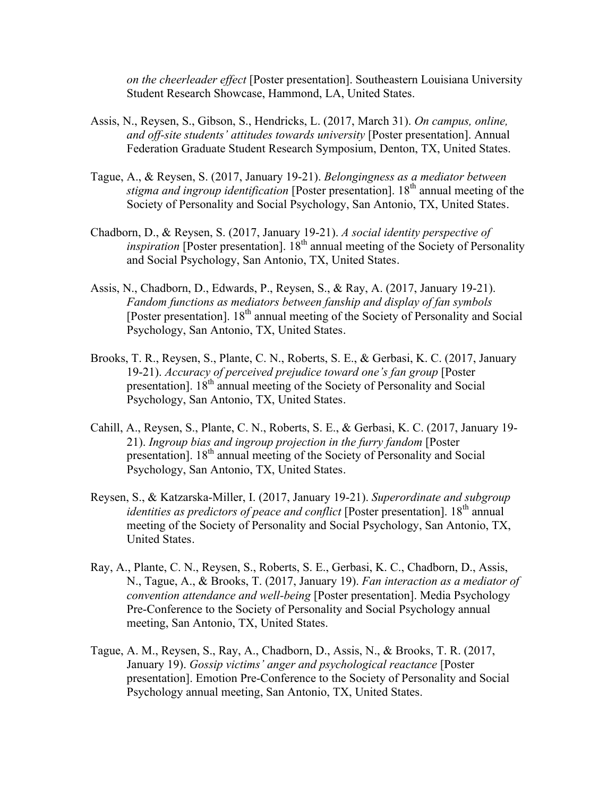*on the cheerleader effect* [Poster presentation]. Southeastern Louisiana University Student Research Showcase, Hammond, LA, United States.

- Assis, N., Reysen, S., Gibson, S., Hendricks, L. (2017, March 31). *On campus, online, and off-site students' attitudes towards university* [Poster presentation]. Annual Federation Graduate Student Research Symposium, Denton, TX, United States.
- Tague, A., & Reysen, S. (2017, January 19-21). *Belongingness as a mediator between stigma and ingroup identification* [Poster presentation]. 18<sup>th</sup> annual meeting of the Society of Personality and Social Psychology, San Antonio, TX, United States.
- Chadborn, D., & Reysen, S. (2017, January 19-21). *A social identity perspective of inspiration* [Poster presentation]. 18<sup>th</sup> annual meeting of the Society of Personality and Social Psychology, San Antonio, TX, United States.
- Assis, N., Chadborn, D., Edwards, P., Reysen, S., & Ray, A. (2017, January 19-21). *Fandom functions as mediators between fanship and display of fan symbols* [Poster presentation]. 18<sup>th</sup> annual meeting of the Society of Personality and Social Psychology, San Antonio, TX, United States.
- Brooks, T. R., Reysen, S., Plante, C. N., Roberts, S. E., & Gerbasi, K. C. (2017, January 19-21). *Accuracy of perceived prejudice toward one's fan group* [Poster presentation]. 18<sup>th</sup> annual meeting of the Society of Personality and Social Psychology, San Antonio, TX, United States.
- Cahill, A., Reysen, S., Plante, C. N., Roberts, S. E., & Gerbasi, K. C. (2017, January 19- 21). *Ingroup bias and ingroup projection in the furry fandom* [Poster presentation]. 18<sup>th</sup> annual meeting of the Society of Personality and Social Psychology, San Antonio, TX, United States.
- Reysen, S., & Katzarska-Miller, I. (2017, January 19-21). *Superordinate and subgroup identities as predictors of peace and conflict* [Poster presentation]. 18<sup>th</sup> annual meeting of the Society of Personality and Social Psychology, San Antonio, TX, United States.
- Ray, A., Plante, C. N., Reysen, S., Roberts, S. E., Gerbasi, K. C., Chadborn, D., Assis, N., Tague, A., & Brooks, T. (2017, January 19). *Fan interaction as a mediator of convention attendance and well-being* [Poster presentation]. Media Psychology Pre-Conference to the Society of Personality and Social Psychology annual meeting, San Antonio, TX, United States.
- Tague, A. M., Reysen, S., Ray, A., Chadborn, D., Assis, N., & Brooks, T. R. (2017, January 19). *Gossip victims' anger and psychological reactance* [Poster presentation]. Emotion Pre-Conference to the Society of Personality and Social Psychology annual meeting, San Antonio, TX, United States.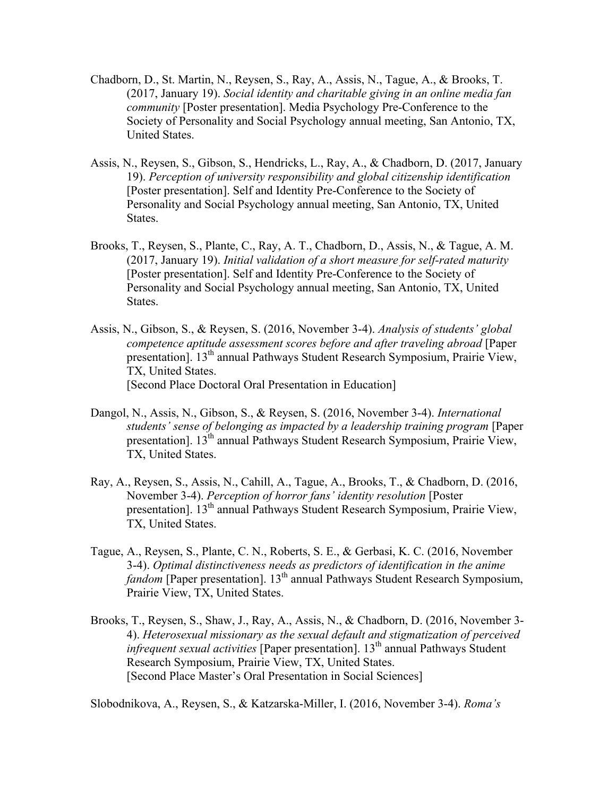- Chadborn, D., St. Martin, N., Reysen, S., Ray, A., Assis, N., Tague, A., & Brooks, T. (2017, January 19). *Social identity and charitable giving in an online media fan community* [Poster presentation]. Media Psychology Pre-Conference to the Society of Personality and Social Psychology annual meeting, San Antonio, TX, United States.
- Assis, N., Reysen, S., Gibson, S., Hendricks, L., Ray, A., & Chadborn, D. (2017, January 19). *Perception of university responsibility and global citizenship identification* [Poster presentation]. Self and Identity Pre-Conference to the Society of Personality and Social Psychology annual meeting, San Antonio, TX, United States.
- Brooks, T., Reysen, S., Plante, C., Ray, A. T., Chadborn, D., Assis, N., & Tague, A. M. (2017, January 19). *Initial validation of a short measure for self-rated maturity* [Poster presentation]. Self and Identity Pre-Conference to the Society of Personality and Social Psychology annual meeting, San Antonio, TX, United States.
- Assis, N., Gibson, S., & Reysen, S. (2016, November 3-4). *Analysis of students' global competence aptitude assessment scores before and after traveling abroad* [Paper presentation]. 13<sup>th</sup> annual Pathways Student Research Symposium, Prairie View, TX, United States. [Second Place Doctoral Oral Presentation in Education]
- Dangol, N., Assis, N., Gibson, S., & Reysen, S. (2016, November 3-4). *International students' sense of belonging as impacted by a leadership training program* [Paper presentation]. 13<sup>th</sup> annual Pathways Student Research Symposium, Prairie View, TX, United States.
- Ray, A., Reysen, S., Assis, N., Cahill, A., Tague, A., Brooks, T., & Chadborn, D. (2016, November 3-4). *Perception of horror fans' identity resolution* [Poster presentation]. 13<sup>th</sup> annual Pathways Student Research Symposium, Prairie View, TX, United States.
- Tague, A., Reysen, S., Plante, C. N., Roberts, S. E., & Gerbasi, K. C. (2016, November 3-4). *Optimal distinctiveness needs as predictors of identification in the anime fandom* [Paper presentation]. 13<sup>th</sup> annual Pathways Student Research Symposium, Prairie View, TX, United States.
- Brooks, T., Reysen, S., Shaw, J., Ray, A., Assis, N., & Chadborn, D. (2016, November 3- 4). *Heterosexual missionary as the sexual default and stigmatization of perceived infrequent sexual activities* [Paper presentation]. 13<sup>th</sup> annual Pathways Student Research Symposium, Prairie View, TX, United States. [Second Place Master's Oral Presentation in Social Sciences]

Slobodnikova, A., Reysen, S., & Katzarska-Miller, I. (2016, November 3-4). *Roma's*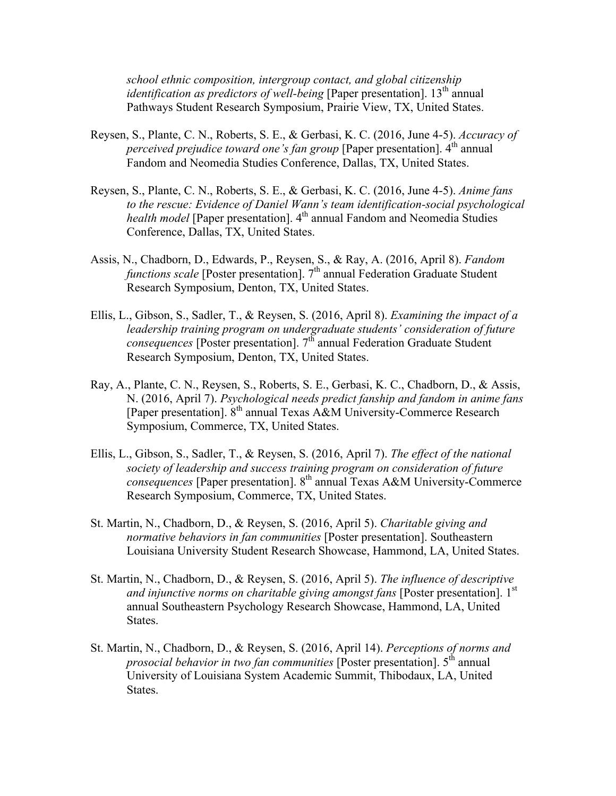*school ethnic composition, intergroup contact, and global citizenship identification as predictors of well-being* [Paper presentation]. 13<sup>th</sup> annual Pathways Student Research Symposium, Prairie View, TX, United States.

- Reysen, S., Plante, C. N., Roberts, S. E., & Gerbasi, K. C. (2016, June 4-5). *Accuracy of perceived prejudice toward one's fan group* [Paper presentation]. 4<sup>th</sup> annual Fandom and Neomedia Studies Conference, Dallas, TX, United States.
- Reysen, S., Plante, C. N., Roberts, S. E., & Gerbasi, K. C. (2016, June 4-5). *Anime fans to the rescue: Evidence of Daniel Wann's team identification-social psychological health model* [Paper presentation]. 4<sup>th</sup> annual Fandom and Neomedia Studies Conference, Dallas, TX, United States.
- Assis, N., Chadborn, D., Edwards, P., Reysen, S., & Ray, A. (2016, April 8). *Fandom functions scale* [Poster presentation]. 7<sup>th</sup> annual Federation Graduate Student Research Symposium, Denton, TX, United States.
- Ellis, L., Gibson, S., Sadler, T., & Reysen, S. (2016, April 8). *Examining the impact of a leadership training program on undergraduate students' consideration of future consequences* [Poster presentation]. 7<sup>th</sup> annual Federation Graduate Student Research Symposium, Denton, TX, United States.
- Ray, A., Plante, C. N., Reysen, S., Roberts, S. E., Gerbasi, K. C., Chadborn, D., & Assis, N. (2016, April 7). *Psychological needs predict fanship and fandom in anime fans* [Paper presentation].  $8<sup>th</sup>$  annual Texas A&M University-Commerce Research Symposium, Commerce, TX, United States.
- Ellis, L., Gibson, S., Sadler, T., & Reysen, S. (2016, April 7). *The effect of the national society of leadership and success training program on consideration of future consequences* [Paper presentation]. 8<sup>th</sup> annual Texas A&M University-Commerce Research Symposium, Commerce, TX, United States.
- St. Martin, N., Chadborn, D., & Reysen, S. (2016, April 5). *Charitable giving and normative behaviors in fan communities* [Poster presentation]. Southeastern Louisiana University Student Research Showcase, Hammond, LA, United States.
- St. Martin, N., Chadborn, D., & Reysen, S. (2016, April 5). *The influence of descriptive and injunctive norms on charitable giving amongst fans* [Poster presentation]. 1st annual Southeastern Psychology Research Showcase, Hammond, LA, United States.
- St. Martin, N., Chadborn, D., & Reysen, S. (2016, April 14). *Perceptions of norms and prosocial behavior in two fan communities* [Poster presentation]. 5<sup>th</sup> annual University of Louisiana System Academic Summit, Thibodaux, LA, United States.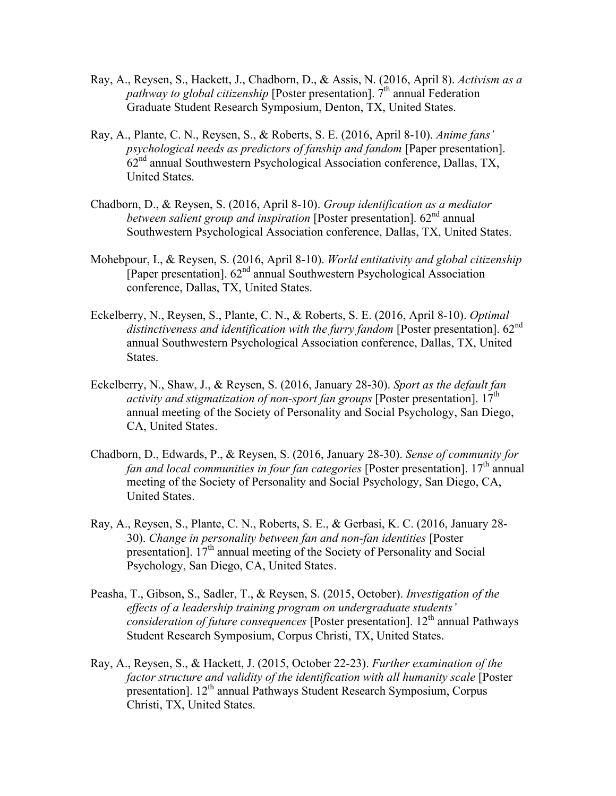- Ray, A., Reysen, S., Hackett, J., Chadborn, D., & Assis, N. (2016, April 8). *Activism as a pathway to global citizenship* [Poster presentation]. 7<sup>th</sup> annual Federation Graduate Student Research Symposium, Denton, TX, United States.
- Ray, A., Plante, C. N., Reysen, S., & Roberts, S. E. (2016, April 8-10). *Anime fans' psychological needs as predictors of fanship and fandom* [Paper presentation].  $62<sup>nd</sup>$  annual Southwestern Psychological Association conference, Dallas, TX, United States.
- Chadborn, D., & Reysen, S. (2016, April 8-10). *Group identification as a mediator between salient group and inspiration* [Poster presentation]. 62<sup>nd</sup> annual Southwestern Psychological Association conference, Dallas, TX, United States.
- Mohebpour, I., & Reysen, S. (2016, April 8-10). *World entitativity and global citizenship* [Paper presentation].  $62<sup>nd</sup>$  annual Southwestern Psychological Association conference, Dallas, TX, United States.
- Eckelberry, N., Reysen, S., Plante, C. N., & Roberts, S. E. (2016, April 8-10). *Optimal distinctiveness and identification with the furry fandom* [Poster presentation]. 62<sup>nd</sup> annual Southwestern Psychological Association conference, Dallas, TX, United States.
- Eckelberry, N., Shaw, J., & Reysen, S. (2016, January 28-30). *Sport as the default fan activity and stigmatization of non-sport fan groups* [Poster presentation]. 17<sup>th</sup> annual meeting of the Society of Personality and Social Psychology, San Diego, CA, United States.
- Chadborn, D., Edwards, P., & Reysen, S. (2016, January 28-30). *Sense of community for fan and local communities in four fan categories* [Poster presentation]. 17<sup>th</sup> annual meeting of the Society of Personality and Social Psychology, San Diego, CA, United States.
- Ray, A., Reysen, S., Plante, C. N., Roberts, S. E., & Gerbasi, K. C. (2016, January 28- 30). *Change in personality between fan and non-fan identities* [Poster presentation]. 17<sup>th</sup> annual meeting of the Society of Personality and Social Psychology, San Diego, CA, United States.
- Peasha, T., Gibson, S., Sadler, T., & Reysen, S. (2015, October). *Investigation of the effects of a leadership training program on undergraduate students' consideration of future consequences* [Poster presentation]. 12th annual Pathways Student Research Symposium, Corpus Christi, TX, United States.
- Ray, A., Reysen, S., & Hackett, J. (2015, October 22-23). *Further examination of the factor structure and validity of the identification with all humanity scale* [Poster presentation]. 12<sup>th</sup> annual Pathways Student Research Symposium, Corpus Christi, TX, United States.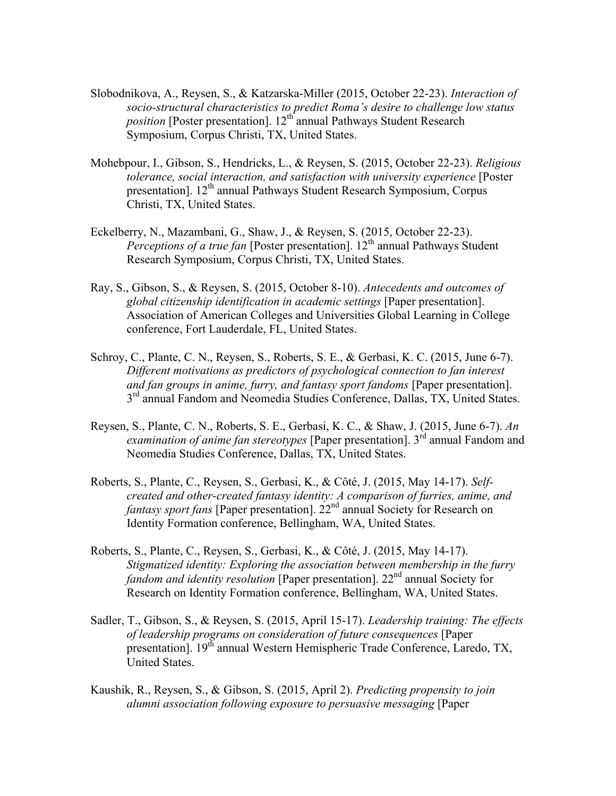- Slobodnikova, A., Reysen, S., & Katzarska-Miller (2015, October 22-23). *Interaction of socio-structural characteristics to predict Roma's desire to challenge low status position* [Poster presentation]. 12<sup>th</sup> annual Pathways Student Research Symposium, Corpus Christi, TX, United States.
- Mohebpour, I., Gibson, S., Hendricks, L., & Reysen, S. (2015, October 22-23). *Religious tolerance, social interaction, and satisfaction with university experience* [Poster presentation]. 12<sup>th</sup> annual Pathways Student Research Symposium, Corpus Christi, TX, United States.
- Eckelberry, N., Mazambani, G., Shaw, J., & Reysen, S. (2015, October 22-23). *Perceptions of a true fan* [Poster presentation]. 12<sup>th</sup> annual Pathways Student Research Symposium, Corpus Christi, TX, United States.
- Ray, S., Gibson, S., & Reysen, S. (2015, October 8-10). *Antecedents and outcomes of global citizenship identification in academic settings* [Paper presentation]. Association of American Colleges and Universities Global Learning in College conference, Fort Lauderdale, FL, United States.
- Schroy, C., Plante, C. N., Reysen, S., Roberts, S. E., & Gerbasi, K. C. (2015, June 6-7). *Different motivations as predictors of psychological connection to fan interest and fan groups in anime, furry, and fantasy sport fandoms* [Paper presentation]. 3<sup>rd</sup> annual Fandom and Neomedia Studies Conference, Dallas, TX, United States.
- Reysen, S., Plante, C. N., Roberts, S. E., Gerbasi, K. C., & Shaw, J. (2015, June 6-7). *An examination of anime fan stereotypes* [Paper presentation]. 3<sup>rd</sup> annual Fandom and Neomedia Studies Conference, Dallas, TX, United States.
- Roberts, S., Plante, C., Reysen, S., Gerbasi, K., & Côté, J. (2015, May 14-17). *Selfcreated and other-created fantasy identity: A comparison of furries, anime, and fantasy sport fans* [Paper presentation]. 22<sup>nd</sup> annual Society for Research on Identity Formation conference, Bellingham, WA, United States.
- Roberts, S., Plante, C., Reysen, S., Gerbasi, K., & Côté, J. (2015, May 14-17). *Stigmatized identity: Exploring the association between membership in the furry fandom and identity resolution* [Paper presentation]. 22<sup>nd</sup> annual Society for Research on Identity Formation conference, Bellingham, WA, United States.
- Sadler, T., Gibson, S., & Reysen, S. (2015, April 15-17). *Leadership training: The effects of leadership programs on consideration of future consequences* [Paper presentation].  $19<sup>th</sup>$  annual Western Hemispheric Trade Conference, Laredo, TX, United States.
- Kaushik, R., Reysen, S., & Gibson, S. (2015, April 2). *Predicting propensity to join alumni association following exposure to persuasive messaging* [Paper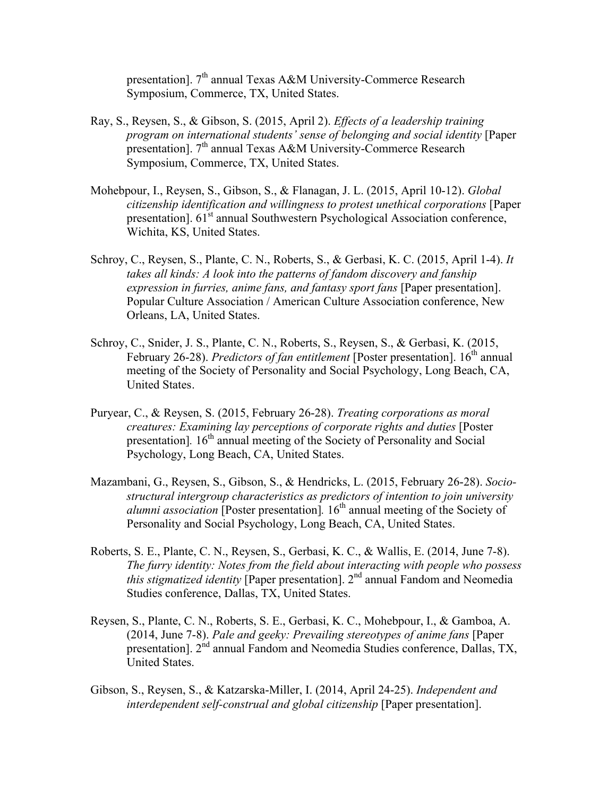presentation]. 7<sup>th</sup> annual Texas A&M University-Commerce Research Symposium, Commerce, TX, United States.

- Ray, S., Reysen, S., & Gibson, S. (2015, April 2). *Effects of a leadership training program on international students' sense of belonging and social identity* [Paper presentation]. 7<sup>th</sup> annual Texas A&M University-Commerce Research Symposium, Commerce, TX, United States.
- Mohebpour, I., Reysen, S., Gibson, S., & Flanagan, J. L. (2015, April 10-12). *Global citizenship identification and willingness to protest unethical corporations* [Paper presentation]. 61<sup>st</sup> annual Southwestern Psychological Association conference, Wichita, KS, United States.
- Schroy, C., Reysen, S., Plante, C. N., Roberts, S., & Gerbasi, K. C. (2015, April 1-4). *It takes all kinds: A look into the patterns of fandom discovery and fanship expression in furries, anime fans, and fantasy sport fans* [Paper presentation]. Popular Culture Association / American Culture Association conference, New Orleans, LA, United States.
- Schroy, C., Snider, J. S., Plante, C. N., Roberts, S., Reysen, S., & Gerbasi, K. (2015, February 26-28). *Predictors of fan entitlement* [Poster presentation]. 16<sup>th</sup> annual meeting of the Society of Personality and Social Psychology, Long Beach, CA, United States.
- Puryear, C., & Reysen, S. (2015, February 26-28). *Treating corporations as moral creatures: Examining lay perceptions of corporate rights and duties* [Poster presentation]. 16<sup>th</sup> annual meeting of the Society of Personality and Social Psychology, Long Beach, CA, United States.
- Mazambani, G., Reysen, S., Gibson, S., & Hendricks, L. (2015, February 26-28). *Sociostructural intergroup characteristics as predictors of intention to join university alumni association* [Poster presentation]. 16<sup>th</sup> annual meeting of the Society of Personality and Social Psychology, Long Beach, CA, United States.
- Roberts, S. E., Plante, C. N., Reysen, S., Gerbasi, K. C., & Wallis, E. (2014, June 7-8). *The furry identity: Notes from the field about interacting with people who possess this stigmatized identity* [Paper presentation]. 2nd annual Fandom and Neomedia Studies conference, Dallas, TX, United States.
- Reysen, S., Plante, C. N., Roberts, S. E., Gerbasi, K. C., Mohebpour, I., & Gamboa, A. (2014, June 7-8). *Pale and geeky: Prevailing stereotypes of anime fans* [Paper presentation]. 2<sup>nd</sup> annual Fandom and Neomedia Studies conference, Dallas, TX, United States.
- Gibson, S., Reysen, S., & Katzarska-Miller, I. (2014, April 24-25). *Independent and interdependent self-construal and global citizenship* [Paper presentation].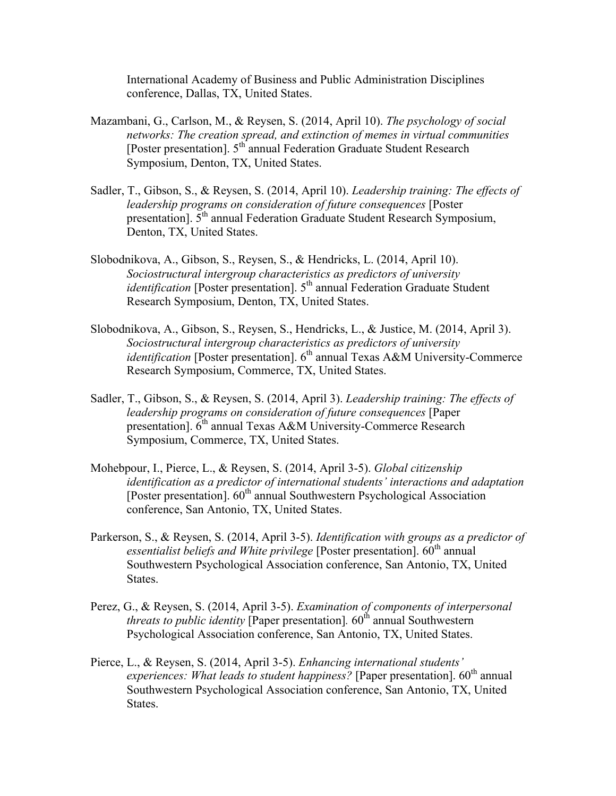International Academy of Business and Public Administration Disciplines conference, Dallas, TX, United States.

- Mazambani, G., Carlson, M., & Reysen, S. (2014, April 10). *The psychology of social networks: The creation spread, and extinction of memes in virtual communities* [Poster presentation].  $5^{th'}$ annual Federation Graduate Student Research Symposium, Denton, TX, United States.
- Sadler, T., Gibson, S., & Reysen, S. (2014, April 10). *Leadership training: The effects of leadership programs on consideration of future consequences* [Poster presentation].  $5<sup>th</sup>$  annual Federation Graduate Student Research Symposium, Denton, TX, United States.
- Slobodnikova, A., Gibson, S., Reysen, S., & Hendricks, L. (2014, April 10). *Sociostructural intergroup characteristics as predictors of university identification* [Poster presentation]. 5<sup>th</sup> annual Federation Graduate Student Research Symposium, Denton, TX, United States.
- Slobodnikova, A., Gibson, S., Reysen, S., Hendricks, L., & Justice, M. (2014, April 3). *Sociostructural intergroup characteristics as predictors of university identification* [Poster presentation]. 6<sup>th</sup> annual Texas A&M University-Commerce Research Symposium, Commerce, TX, United States.
- Sadler, T., Gibson, S., & Reysen, S. (2014, April 3). *Leadership training: The effects of leadership programs on consideration of future consequences* [Paper presentation]. 6<sup>th</sup> annual Texas A&M University-Commerce Research Symposium, Commerce, TX, United States.
- Mohebpour, I., Pierce, L., & Reysen, S. (2014, April 3-5). *Global citizenship identification as a predictor of international students' interactions and adaptation* [Poster presentation].  $60^{th}$  annual Southwestern Psychological Association conference, San Antonio, TX, United States.
- Parkerson, S., & Reysen, S. (2014, April 3-5). *Identification with groups as a predictor of essentialist beliefs and White privilege* [Poster presentation]. 60<sup>th</sup> annual Southwestern Psychological Association conference, San Antonio, TX, United States.
- Perez, G., & Reysen, S. (2014, April 3-5). *Examination of components of interpersonal threats to public identity* [Paper presentation].  $60<sup>th</sup>$  annual Southwestern Psychological Association conference, San Antonio, TX, United States.
- Pierce, L., & Reysen, S. (2014, April 3-5). *Enhancing international students' experiences: What leads to student happiness?* [Paper presentation].  $60<sup>th</sup>$  annual Southwestern Psychological Association conference, San Antonio, TX, United States.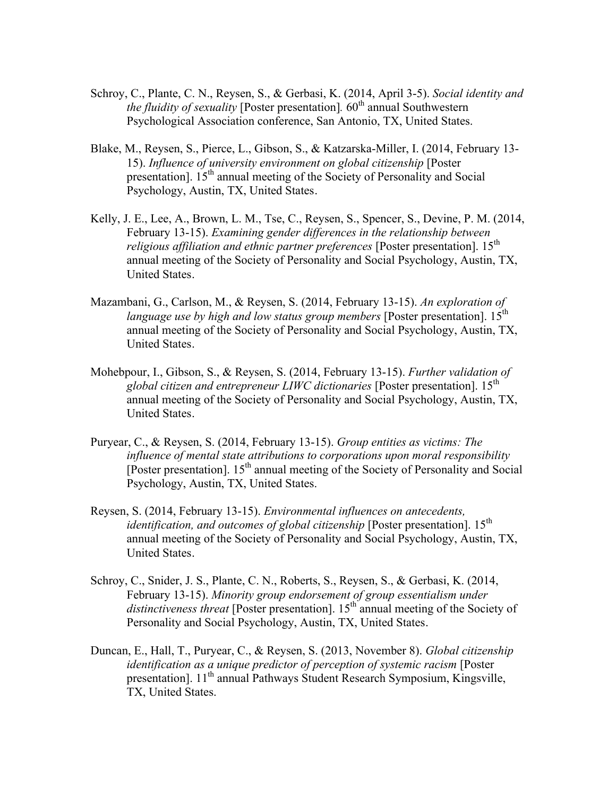- Schroy, C., Plante, C. N., Reysen, S., & Gerbasi, K. (2014, April 3-5). *Social identity and the fluidity of sexuality* [Poster presentation]. 60<sup>th</sup> annual Southwestern Psychological Association conference, San Antonio, TX, United States.
- Blake, M., Reysen, S., Pierce, L., Gibson, S., & Katzarska-Miller, I. (2014, February 13- 15). *Influence of university environment on global citizenship* [Poster presentation]. 15<sup>th</sup> annual meeting of the Society of Personality and Social Psychology, Austin, TX, United States.
- Kelly, J. E., Lee, A., Brown, L. M., Tse, C., Reysen, S., Spencer, S., Devine, P. M. (2014, February 13-15). *Examining gender differences in the relationship between religious affiliation and ethnic partner preferences* [Poster presentation]. 15<sup>th</sup> annual meeting of the Society of Personality and Social Psychology, Austin, TX, United States.
- Mazambani, G., Carlson, M., & Reysen, S. (2014, February 13-15). *An exploration of language use by high and low status group members* [Poster presentation]. 15<sup>th</sup> annual meeting of the Society of Personality and Social Psychology, Austin, TX, United States.
- Mohebpour, I., Gibson, S., & Reysen, S. (2014, February 13-15). *Further validation of global citizen and entrepreneur LIWC dictionaries* [Poster presentation]. 15th annual meeting of the Society of Personality and Social Psychology, Austin, TX, United States.
- Puryear, C., & Reysen, S. (2014, February 13-15). *Group entities as victims: The influence of mental state attributions to corporations upon moral responsibility* [Poster presentation].  $15<sup>th</sup>$  annual meeting of the Society of Personality and Social Psychology, Austin, TX, United States.
- Reysen, S. (2014, February 13-15). *Environmental influences on antecedents, identification, and outcomes of global citizenship* [Poster presentation]. 15<sup>th</sup> annual meeting of the Society of Personality and Social Psychology, Austin, TX, United States.
- Schroy, C., Snider, J. S., Plante, C. N., Roberts, S., Reysen, S., & Gerbasi, K. (2014, February 13-15). *Minority group endorsement of group essentialism under*  distinctiveness threat [Poster presentation]. 15<sup>th</sup> annual meeting of the Society of Personality and Social Psychology, Austin, TX, United States.
- Duncan, E., Hall, T., Puryear, C., & Reysen, S. (2013, November 8). *Global citizenship identification as a unique predictor of perception of systemic racism* [Poster presentation]. 11<sup>th</sup> annual Pathways Student Research Symposium, Kingsville, TX, United States.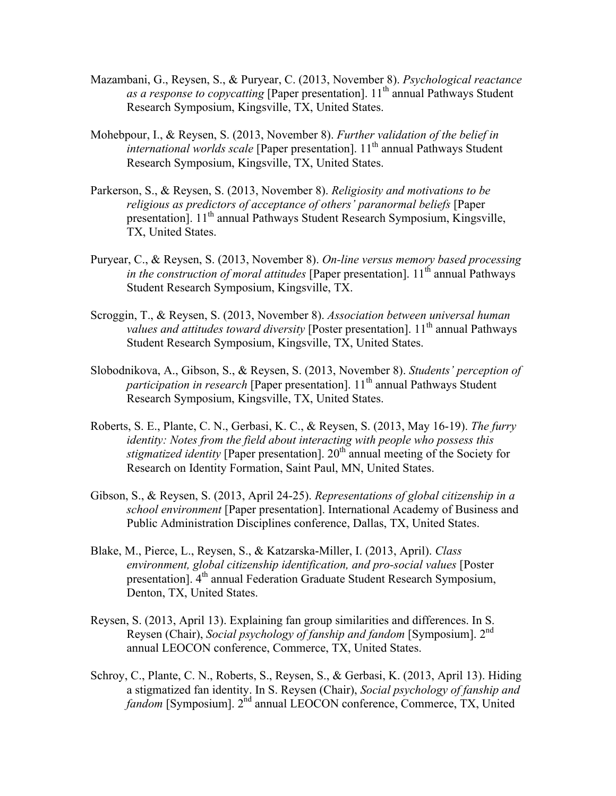- Mazambani, G., Reysen, S., & Puryear, C. (2013, November 8). *Psychological reactance as a response to copycatting* [Paper presentation]. 11<sup>th</sup> annual Pathways Student Research Symposium, Kingsville, TX, United States.
- Mohebpour, I., & Reysen, S. (2013, November 8). *Further validation of the belief in international worlds scale* [Paper presentation]. 11<sup>th</sup> annual Pathways Student Research Symposium, Kingsville, TX, United States.
- Parkerson, S., & Reysen, S. (2013, November 8). *Religiosity and motivations to be religious as predictors of acceptance of others' paranormal beliefs* [Paper presentation]. 11<sup>th</sup> annual Pathways Student Research Symposium, Kingsville, TX, United States.
- Puryear, C., & Reysen, S. (2013, November 8). *On-line versus memory based processing in the construction of moral attitudes* [Paper presentation].  $11<sup>th</sup>$  annual Pathways Student Research Symposium, Kingsville, TX.
- Scroggin, T., & Reysen, S. (2013, November 8). *Association between universal human values and attitudes toward diversity* [Poster presentation]. 11<sup>th</sup> annual Pathways Student Research Symposium, Kingsville, TX, United States.
- Slobodnikova, A., Gibson, S., & Reysen, S. (2013, November 8). *Students' perception of participation in research* [Paper presentation]. 11<sup>th</sup> annual Pathways Student Research Symposium, Kingsville, TX, United States.
- Roberts, S. E., Plante, C. N., Gerbasi, K. C., & Reysen, S. (2013, May 16-19). *The furry identity: Notes from the field about interacting with people who possess this stigmatized identity* [Paper presentation]. 20<sup>th</sup> annual meeting of the Society for Research on Identity Formation, Saint Paul, MN, United States.
- Gibson, S., & Reysen, S. (2013, April 24-25). *Representations of global citizenship in a school environment* [Paper presentation]. International Academy of Business and Public Administration Disciplines conference, Dallas, TX, United States.
- Blake, M., Pierce, L., Reysen, S., & Katzarska-Miller, I. (2013, April). *Class environment, global citizenship identification, and pro-social values* [Poster presentation]. 4<sup>th</sup> annual Federation Graduate Student Research Symposium, Denton, TX, United States.
- Reysen, S. (2013, April 13). Explaining fan group similarities and differences. In S. Reysen (Chair), *Social psychology of fanship and fandom* [Symposium]. 2nd annual LEOCON conference, Commerce, TX, United States.
- Schroy, C., Plante, C. N., Roberts, S., Reysen, S., & Gerbasi, K. (2013, April 13). Hiding a stigmatized fan identity. In S. Reysen (Chair), *Social psychology of fanship and fandom* [Symposium]. 2<sup>nd</sup> annual LEOCON conference, Commerce, TX, United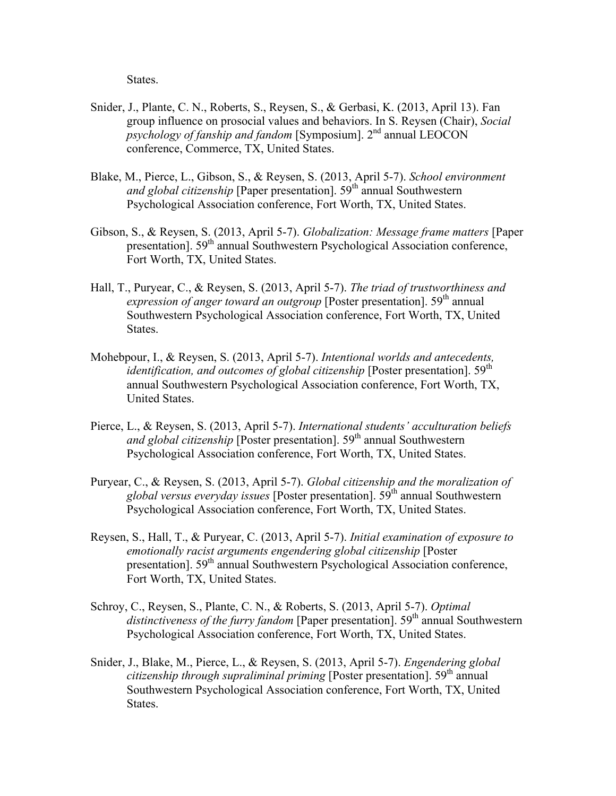States.

- Snider, J., Plante, C. N., Roberts, S., Reysen, S., & Gerbasi, K. (2013, April 13). Fan group influence on prosocial values and behaviors. In S. Reysen (Chair), *Social psychology of fanship and fandom* [Symposium]. 2<sup>nd</sup> annual LEOCON conference, Commerce, TX, United States.
- Blake, M., Pierce, L., Gibson, S., & Reysen, S. (2013, April 5-7). *School environment and global citizenship* [Paper presentation]. 59<sup>th</sup> annual Southwestern Psychological Association conference, Fort Worth, TX, United States.
- Gibson, S., & Reysen, S. (2013, April 5-7). *Globalization: Message frame matters* [Paper presentation]. 59<sup>th</sup> annual Southwestern Psychological Association conference, Fort Worth, TX, United States.
- Hall, T., Puryear, C., & Reysen, S. (2013, April 5-7). *The triad of trustworthiness and expression of anger toward an outgroup* [Poster presentation]. 59<sup>th</sup> annual Southwestern Psychological Association conference, Fort Worth, TX, United States.
- Mohebpour, I., & Reysen, S. (2013, April 5-7). *Intentional worlds and antecedents, identification, and outcomes of global citizenship* [Poster presentation]. 59<sup>th</sup> annual Southwestern Psychological Association conference, Fort Worth, TX, United States.
- Pierce, L., & Reysen, S. (2013, April 5-7). *International students' acculturation beliefs and global citizenship* [Poster presentation]. 59<sup>th</sup> annual Southwestern Psychological Association conference, Fort Worth, TX, United States.
- Puryear, C., & Reysen, S. (2013, April 5-7). *Global citizenship and the moralization of global versus everyday issues* [Poster presentation]. 59th annual Southwestern Psychological Association conference, Fort Worth, TX, United States.
- Reysen, S., Hall, T., & Puryear, C. (2013, April 5-7). *Initial examination of exposure to emotionally racist arguments engendering global citizenship* [Poster presentation]. 59<sup>th</sup> annual Southwestern Psychological Association conference, Fort Worth, TX, United States.
- Schroy, C., Reysen, S., Plante, C. N., & Roberts, S. (2013, April 5-7). *Optimal distinctiveness of the furry fandom* [Paper presentation]. 59<sup>th</sup> annual Southwestern Psychological Association conference, Fort Worth, TX, United States.
- Snider, J., Blake, M., Pierce, L., & Reysen, S. (2013, April 5-7). *Engendering global citizenship through supraliminal priming* [Poster presentation]. 59<sup>th</sup> annual Southwestern Psychological Association conference, Fort Worth, TX, United States.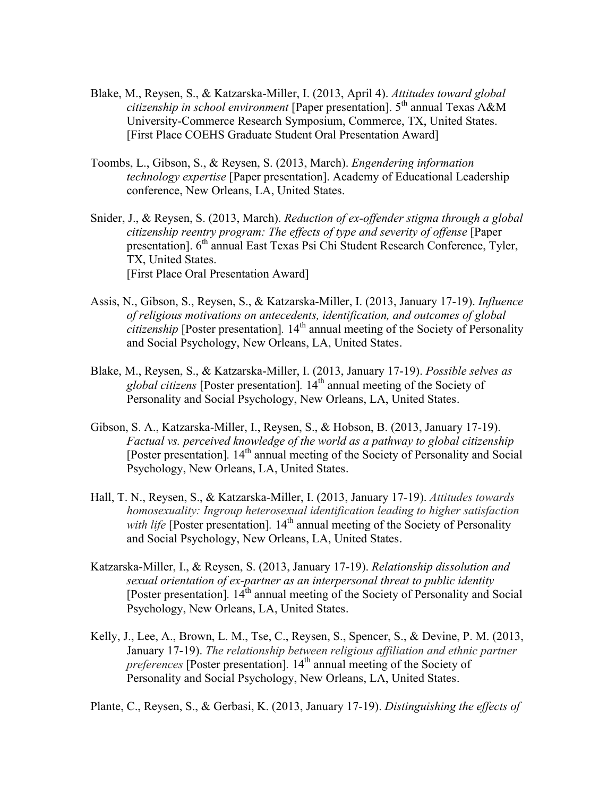- Blake, M., Reysen, S., & Katzarska-Miller, I. (2013, April 4). *Attitudes toward global citizenship in school environment* [Paper presentation]. 5<sup>th</sup> annual Texas A&M University-Commerce Research Symposium, Commerce, TX, United States. [First Place COEHS Graduate Student Oral Presentation Award]
- Toombs, L., Gibson, S., & Reysen, S. (2013, March). *Engendering information technology expertise* [Paper presentation]. Academy of Educational Leadership conference, New Orleans, LA, United States.
- Snider, J., & Reysen, S. (2013, March). *Reduction of ex-offender stigma through a global citizenship reentry program: The effects of type and severity of offense* [Paper presentation]. 6<sup>th</sup> annual East Texas Psi Chi Student Research Conference, Tyler, TX, United States. [First Place Oral Presentation Award]
- Assis, N., Gibson, S., Reysen, S., & Katzarska-Miller, I. (2013, January 17-19). *Influence of religious motivations on antecedents, identification, and outcomes of global citizenship* [Poster presentation]. 14<sup>th</sup> annual meeting of the Society of Personality and Social Psychology, New Orleans, LA, United States.
- Blake, M., Reysen, S., & Katzarska-Miller, I. (2013, January 17-19). *Possible selves as global citizens* [Poster presentation]*.* 14th annual meeting of the Society of Personality and Social Psychology, New Orleans, LA, United States.
- Gibson, S. A., Katzarska-Miller, I., Reysen, S., & Hobson, B. (2013, January 17-19). *Factual vs. perceived knowledge of the world as a pathway to global citizenship* [Poster presentation]. 14<sup>th</sup> annual meeting of the Society of Personality and Social Psychology, New Orleans, LA, United States.
- Hall, T. N., Reysen, S., & Katzarska-Miller, I. (2013, January 17-19). *Attitudes towards homosexuality: Ingroup heterosexual identification leading to higher satisfaction with life* [Poster presentation]. 14<sup>th</sup> annual meeting of the Society of Personality and Social Psychology, New Orleans, LA, United States.
- Katzarska-Miller, I., & Reysen, S. (2013, January 17-19). *Relationship dissolution and sexual orientation of ex-partner as an interpersonal threat to public identity* [Poster presentation]. 14<sup>th</sup> annual meeting of the Society of Personality and Social Psychology, New Orleans, LA, United States.
- Kelly, J., Lee, A., Brown, L. M., Tse, C., Reysen, S., Spencer, S., & Devine, P. M. (2013, January 17-19). *The relationship between religious affiliation and ethnic partner preferences* [Poster presentation]. 14<sup>th</sup> annual meeting of the Society of Personality and Social Psychology, New Orleans, LA, United States.

Plante, C., Reysen, S., & Gerbasi, K. (2013, January 17-19). *Distinguishing the effects of*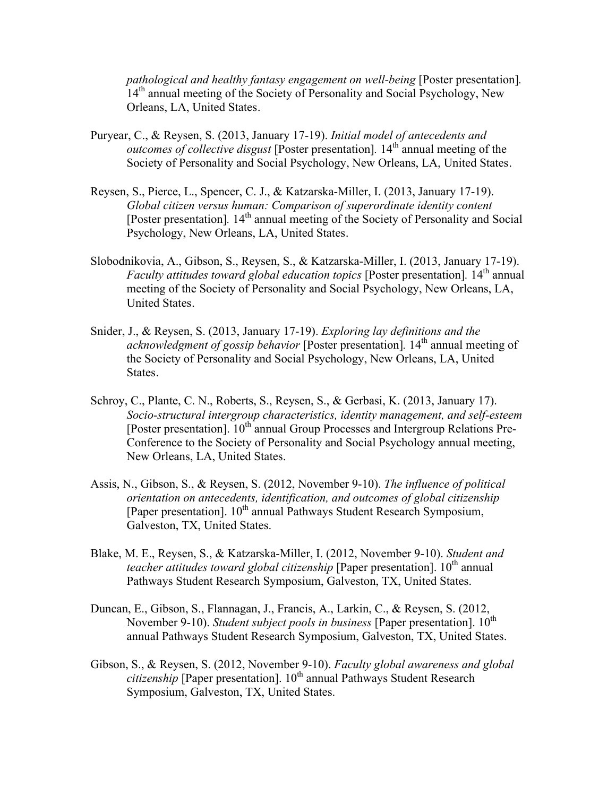*pathological and healthy fantasy engagement on well-being* [Poster presentation]*.* 14<sup>th</sup> annual meeting of the Society of Personality and Social Psychology, New Orleans, LA, United States.

- Puryear, C., & Reysen, S. (2013, January 17-19). *Initial model of antecedents and outcomes of collective disgust* [Poster presentation]. 14<sup>th</sup> annual meeting of the Society of Personality and Social Psychology, New Orleans, LA, United States.
- Reysen, S., Pierce, L., Spencer, C. J., & Katzarska-Miller, I. (2013, January 17-19). *Global citizen versus human: Comparison of superordinate identity content* [Poster presentation]. 14<sup>th</sup> annual meeting of the Society of Personality and Social Psychology, New Orleans, LA, United States.
- Slobodnikovia, A., Gibson, S., Reysen, S., & Katzarska-Miller, I. (2013, January 17-19). *Faculty attitudes toward global education topics* [Poster presentation]. 14<sup>th</sup> annual meeting of the Society of Personality and Social Psychology, New Orleans, LA, United States.
- Snider, J., & Reysen, S. (2013, January 17-19). *Exploring lay definitions and the acknowledgment of gossip behavior* [Poster presentation]*.* 14th annual meeting of the Society of Personality and Social Psychology, New Orleans, LA, United States.
- Schroy, C., Plante, C. N., Roberts, S., Reysen, S., & Gerbasi, K. (2013, January 17). *Socio-structural intergroup characteristics, identity management, and self-esteem* [Poster presentation].  $10^{th}$  annual Group Processes and Intergroup Relations Pre-Conference to the Society of Personality and Social Psychology annual meeting, New Orleans, LA, United States.
- Assis, N., Gibson, S., & Reysen, S. (2012, November 9-10). *The influence of political orientation on antecedents, identification, and outcomes of global citizenship* [Paper presentation]. 10<sup>th</sup> annual Pathways Student Research Symposium, Galveston, TX, United States.
- Blake, M. E., Reysen, S., & Katzarska-Miller, I. (2012, November 9-10). *Student and teacher attitudes toward global citizenship* [Paper presentation]. 10<sup>th</sup> annual Pathways Student Research Symposium, Galveston, TX, United States.
- Duncan, E., Gibson, S., Flannagan, J., Francis, A., Larkin, C., & Reysen, S. (2012, November 9-10). *Student subject pools in business* [Paper presentation].  $10^{th}$ annual Pathways Student Research Symposium, Galveston, TX, United States.
- Gibson, S., & Reysen, S. (2012, November 9-10). *Faculty global awareness and global citizenship* [Paper presentation]. 10<sup>th</sup> annual Pathways Student Research Symposium, Galveston, TX, United States.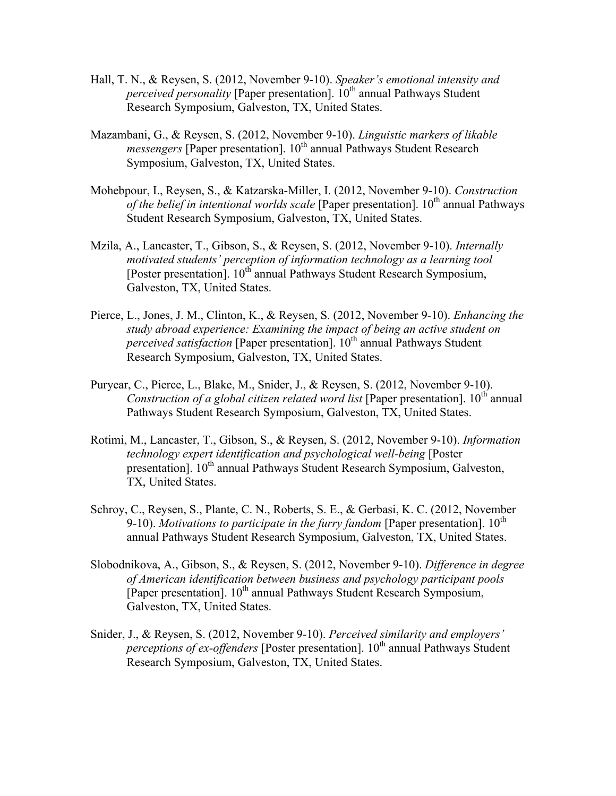- Hall, T. N., & Reysen, S. (2012, November 9-10). *Speaker's emotional intensity and perceived personality* [Paper presentation].  $10^{th}$  annual Pathways Student Research Symposium, Galveston, TX, United States.
- Mazambani, G., & Reysen, S. (2012, November 9-10). *Linguistic markers of likable messengers* [Paper presentation]. 10<sup>th</sup> annual Pathways Student Research Symposium, Galveston, TX, United States.
- Mohebpour, I., Reysen, S., & Katzarska-Miller, I. (2012, November 9-10). *Construction of the belief in intentional worlds scale* [Paper presentation]. 10<sup>th</sup> annual Pathways Student Research Symposium, Galveston, TX, United States.
- Mzila, A., Lancaster, T., Gibson, S., & Reysen, S. (2012, November 9-10). *Internally motivated students' perception of information technology as a learning tool* [Poster presentation]. 10<sup>th</sup> annual Pathways Student Research Symposium, Galveston, TX, United States.
- Pierce, L., Jones, J. M., Clinton, K., & Reysen, S. (2012, November 9-10). *Enhancing the study abroad experience: Examining the impact of being an active student on perceived satisfaction* [Paper presentation]. 10<sup>th</sup> annual Pathways Student Research Symposium, Galveston, TX, United States.
- Puryear, C., Pierce, L., Blake, M., Snider, J., & Reysen, S. (2012, November 9-10). *Construction of a global citizen related word list* [Paper presentation]. 10<sup>th</sup> annual Pathways Student Research Symposium, Galveston, TX, United States.
- Rotimi, M., Lancaster, T., Gibson, S., & Reysen, S. (2012, November 9-10). *Information technology expert identification and psychological well-being* [Poster presentation]. 10<sup>th</sup> annual Pathways Student Research Symposium, Galveston, TX, United States.
- Schroy, C., Reysen, S., Plante, C. N., Roberts, S. E., & Gerbasi, K. C. (2012, November 9-10). *Motivations to participate in the furry fandom* [Paper presentation].  $10^{th}$ annual Pathways Student Research Symposium, Galveston, TX, United States.
- Slobodnikova, A., Gibson, S., & Reysen, S. (2012, November 9-10). *Difference in degree of American identification between business and psychology participant pools* [Paper presentation]. 10<sup>th</sup> annual Pathways Student Research Symposium, Galveston, TX, United States.
- Snider, J., & Reysen, S. (2012, November 9-10). *Perceived similarity and employers' perceptions of ex-offenders* [Poster presentation]. 10<sup>th</sup> annual Pathways Student Research Symposium, Galveston, TX, United States.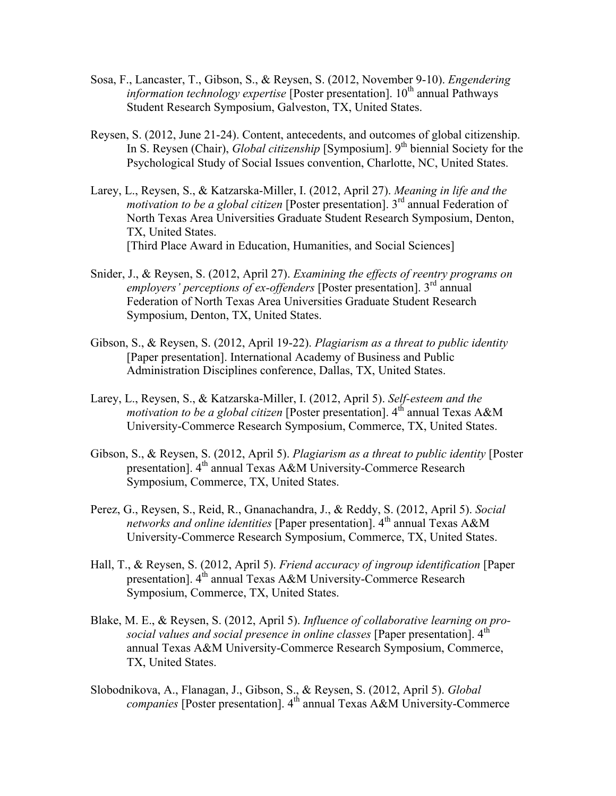- Sosa, F., Lancaster, T., Gibson, S., & Reysen, S. (2012, November 9-10). *Engendering information technology expertise* [Poster presentation]. 10<sup>th</sup> annual Pathways Student Research Symposium, Galveston, TX, United States.
- Reysen, S. (2012, June 21-24). Content, antecedents, and outcomes of global citizenship. In S. Reysen (Chair), *Global citizenship* [Symposium]. 9<sup>th</sup> biennial Society for the Psychological Study of Social Issues convention, Charlotte, NC, United States.
- Larey, L., Reysen, S., & Katzarska-Miller, I. (2012, April 27). *Meaning in life and the motivation to be a global citizen* [Poster presentation]. 3rd annual Federation of North Texas Area Universities Graduate Student Research Symposium, Denton, TX, United States. [Third Place Award in Education, Humanities, and Social Sciences]
- Snider, J., & Reysen, S. (2012, April 27). *Examining the effects of reentry programs on employers' perceptions of ex-offenders* [Poster presentation]. 3<sup>rd</sup> annual Federation of North Texas Area Universities Graduate Student Research Symposium, Denton, TX, United States.
- Gibson, S., & Reysen, S. (2012, April 19-22). *Plagiarism as a threat to public identity* [Paper presentation]. International Academy of Business and Public Administration Disciplines conference, Dallas, TX, United States.
- Larey, L., Reysen, S., & Katzarska-Miller, I. (2012, April 5). *Self-esteem and the motivation to be a global citizen* [Poster presentation]. 4<sup>th</sup> annual Texas A&M University-Commerce Research Symposium, Commerce, TX, United States.
- Gibson, S., & Reysen, S. (2012, April 5). *Plagiarism as a threat to public identity* [Poster presentation].  $4<sup>th</sup>$  annual Texas A&M University-Commerce Research Symposium, Commerce, TX, United States.
- Perez, G., Reysen, S., Reid, R., Gnanachandra, J., & Reddy, S. (2012, April 5). *Social networks and online identities* [Paper presentation]. 4<sup>th</sup> annual Texas A&M University-Commerce Research Symposium, Commerce, TX, United States.
- Hall, T., & Reysen, S. (2012, April 5). *Friend accuracy of ingroup identification* [Paper presentation]. 4<sup>th</sup> annual Texas A&M University-Commerce Research Symposium, Commerce, TX, United States.
- Blake, M. E., & Reysen, S. (2012, April 5). *Influence of collaborative learning on prosocial values and social presence in online classes* [Paper presentation]. 4<sup>th</sup> annual Texas A&M University-Commerce Research Symposium, Commerce, TX, United States.
- Slobodnikova, A., Flanagan, J., Gibson, S., & Reysen, S. (2012, April 5). *Global companies* [Poster presentation]. 4<sup>th</sup> annual Texas A&M University-Commerce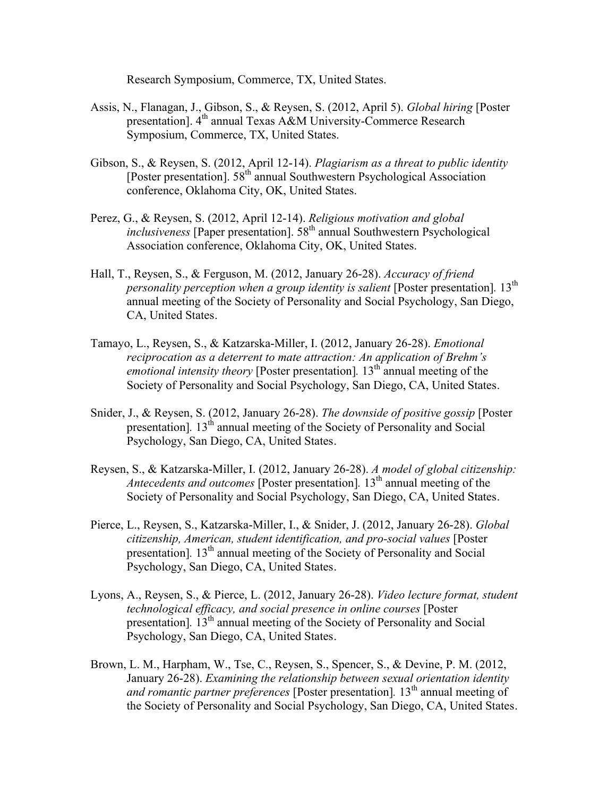Research Symposium, Commerce, TX, United States.

- Assis, N., Flanagan, J., Gibson, S., & Reysen, S. (2012, April 5). *Global hiring* [Poster presentation]. 4<sup>th</sup> annual Texas A&M University-Commerce Research Symposium, Commerce, TX, United States.
- Gibson, S., & Reysen, S. (2012, April 12-14). *Plagiarism as a threat to public identity* [Poster presentation].  $58<sup>th</sup>$  annual Southwestern Psychological Association conference, Oklahoma City, OK, United States.
- Perez, G., & Reysen, S. (2012, April 12-14). *Religious motivation and global inclusiveness* [Paper presentation]. 58<sup>th</sup> annual Southwestern Psychological Association conference, Oklahoma City, OK, United States.
- Hall, T., Reysen, S., & Ferguson, M. (2012, January 26-28). *Accuracy of friend personality perception when a group identity is salient* [Poster presentation]. 13<sup>th</sup> annual meeting of the Society of Personality and Social Psychology, San Diego, CA, United States.
- Tamayo, L., Reysen, S., & Katzarska-Miller, I. (2012, January 26-28). *Emotional reciprocation as a deterrent to mate attraction: An application of Brehm's emotional intensity theory* [Poster presentation]. 13<sup>th</sup> annual meeting of the Society of Personality and Social Psychology, San Diego, CA, United States.
- Snider, J., & Reysen, S. (2012, January 26-28). *The downside of positive gossip* [Poster presentation<sup>1</sup>. 13<sup>th</sup> annual meeting of the Society of Personality and Social Psychology, San Diego, CA, United States.
- Reysen, S., & Katzarska-Miller, I. (2012, January 26-28). *A model of global citizenship: Antecedents and outcomes* [Poster presentation]. 13<sup>th</sup> annual meeting of the Society of Personality and Social Psychology, San Diego, CA, United States.
- Pierce, L., Reysen, S., Katzarska-Miller, I., & Snider, J. (2012, January 26-28). *Global citizenship, American, student identification, and pro-social values* [Poster presentation<sup>]</sup>. 13<sup>th</sup> annual meeting of the Society of Personality and Social Psychology, San Diego, CA, United States.
- Lyons, A., Reysen, S., & Pierce, L. (2012, January 26-28). *Video lecture format, student technological efficacy, and social presence in online courses* [Poster presentation]. 13<sup>th</sup> annual meeting of the Society of Personality and Social Psychology, San Diego, CA, United States.
- Brown, L. M., Harpham, W., Tse, C., Reysen, S., Spencer, S., & Devine, P. M. (2012, January 26-28). *Examining the relationship between sexual orientation identity and romantic partner preferences* [Poster presentation]. 13<sup>th</sup> annual meeting of the Society of Personality and Social Psychology, San Diego, CA, United States.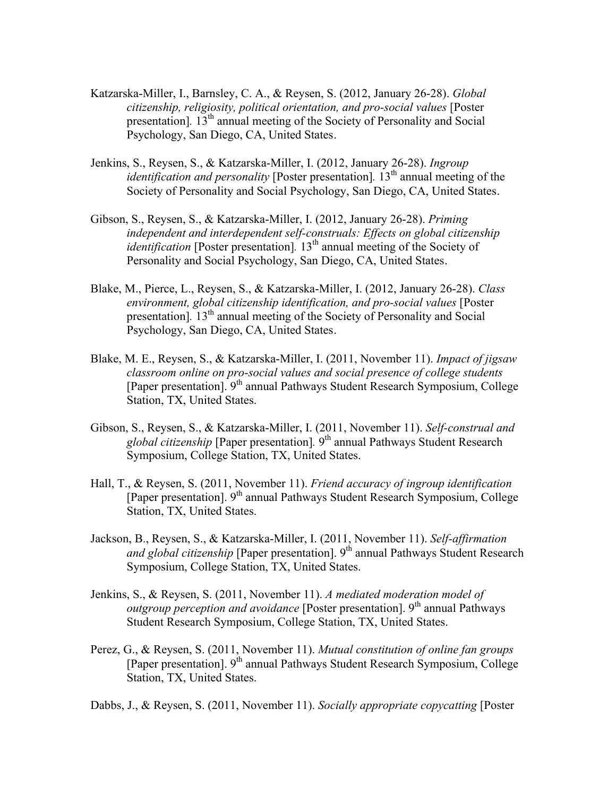- Katzarska-Miller, I., Barnsley, C. A., & Reysen, S. (2012, January 26-28). *Global citizenship, religiosity, political orientation, and pro-social values* [Poster presentation<sup>]</sup>. 13<sup>th</sup> annual meeting of the Society of Personality and Social Psychology, San Diego, CA, United States.
- Jenkins, S., Reysen, S., & Katzarska-Miller, I. (2012, January 26-28). *Ingroup identification and personality* [Poster presentation]. 13<sup>th</sup> annual meeting of the Society of Personality and Social Psychology, San Diego, CA, United States.
- Gibson, S., Reysen, S., & Katzarska-Miller, I. (2012, January 26-28). *Priming independent and interdependent self-construals: Effects on global citizenship identification* [Poster presentation]. 13<sup>th</sup> annual meeting of the Society of Personality and Social Psychology, San Diego, CA, United States.
- Blake, M., Pierce, L., Reysen, S., & Katzarska-Miller, I. (2012, January 26-28). *Class environment, global citizenship identification, and pro-social values* [Poster presentation<sup>[13th</sup> annual meeting of the Society of Personality and Social Psychology, San Diego, CA, United States.
- Blake, M. E., Reysen, S., & Katzarska-Miller, I. (2011, November 11). *Impact of jigsaw classroom online on pro-social values and social presence of college students* [Paper presentation]. 9<sup>th</sup> annual Pathways Student Research Symposium, College Station, TX, United States.
- Gibson, S., Reysen, S., & Katzarska-Miller, I. (2011, November 11). *Self-construal and global citizenship* [Paper presentation]*.* 9th annual Pathways Student Research Symposium, College Station, TX, United States.
- Hall, T., & Reysen, S. (2011, November 11). *Friend accuracy of ingroup identification* [Paper presentation]. 9<sup>th</sup> annual Pathways Student Research Symposium, College Station, TX, United States.
- Jackson, B., Reysen, S., & Katzarska-Miller, I. (2011, November 11). *Self-affirmation and global citizenship* [Paper presentation]. 9<sup>th</sup> annual Pathways Student Research Symposium, College Station, TX, United States.
- Jenkins, S., & Reysen, S. (2011, November 11). *A mediated moderation model of outgroup perception and avoidance* [Poster presentation]. 9<sup>th</sup> annual Pathways Student Research Symposium, College Station, TX, United States.
- Perez, G., & Reysen, S. (2011, November 11). *Mutual constitution of online fan groups* [Paper presentation]. 9<sup>th</sup> annual Pathways Student Research Symposium, College Station, TX, United States.

Dabbs, J., & Reysen, S. (2011, November 11). *Socially appropriate copycatting* [Poster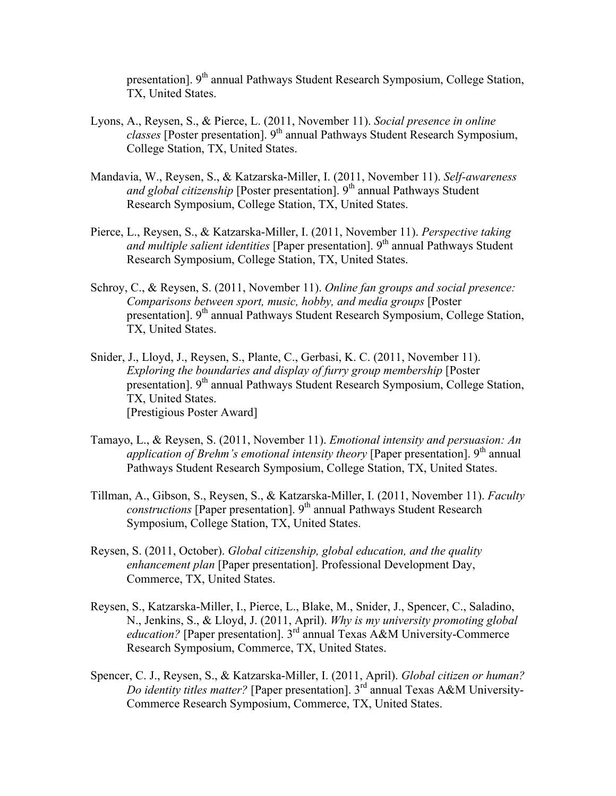presentation]. 9th annual Pathways Student Research Symposium, College Station, TX, United States.

- Lyons, A., Reysen, S., & Pierce, L. (2011, November 11). *Social presence in online classes* [Poster presentation]. 9th annual Pathways Student Research Symposium, College Station, TX, United States.
- Mandavia, W., Reysen, S., & Katzarska-Miller, I. (2011, November 11). *Self-awareness and global citizenship* [Poster presentation]. 9<sup>th</sup> annual Pathways Student Research Symposium, College Station, TX, United States.
- Pierce, L., Reysen, S., & Katzarska-Miller, I. (2011, November 11). *Perspective taking and multiple salient identities* [Paper presentation]. 9<sup>th</sup> annual Pathways Student Research Symposium, College Station, TX, United States.
- Schroy, C., & Reysen, S. (2011, November 11). *Online fan groups and social presence: Comparisons between sport, music, hobby, and media groups* [Poster presentation]. 9<sup>th</sup> annual Pathways Student Research Symposium, College Station, TX, United States.
- Snider, J., Lloyd, J., Reysen, S., Plante, C., Gerbasi, K. C. (2011, November 11). *Exploring the boundaries and display of furry group membership* [Poster presentation]. 9<sup>th</sup> annual Pathways Student Research Symposium, College Station, TX, United States. [Prestigious Poster Award]
- Tamayo, L., & Reysen, S. (2011, November 11). *Emotional intensity and persuasion: An* application of Brehm's emotional intensity theory [Paper presentation]. 9<sup>th</sup> annual Pathways Student Research Symposium, College Station, TX, United States.
- Tillman, A., Gibson, S., Reysen, S., & Katzarska-Miller, I. (2011, November 11). *Faculty constructions* [Paper presentation]. 9<sup>th</sup> annual Pathways Student Research Symposium, College Station, TX, United States.
- Reysen, S. (2011, October). *Global citizenship, global education, and the quality enhancement plan* [Paper presentation]. Professional Development Day, Commerce, TX, United States.
- Reysen, S., Katzarska-Miller, I., Pierce, L., Blake, M., Snider, J., Spencer, C., Saladino, N., Jenkins, S., & Lloyd, J. (2011, April). *Why is my university promoting global education?* [Paper presentation]. 3<sup>rd</sup> annual Texas A&M University-Commerce Research Symposium, Commerce, TX, United States.
- Spencer, C. J., Reysen, S., & Katzarska-Miller, I. (2011, April). *Global citizen or human? Do identity titles matter?* [Paper presentation]. 3rd annual Texas A&M University-Commerce Research Symposium, Commerce, TX, United States.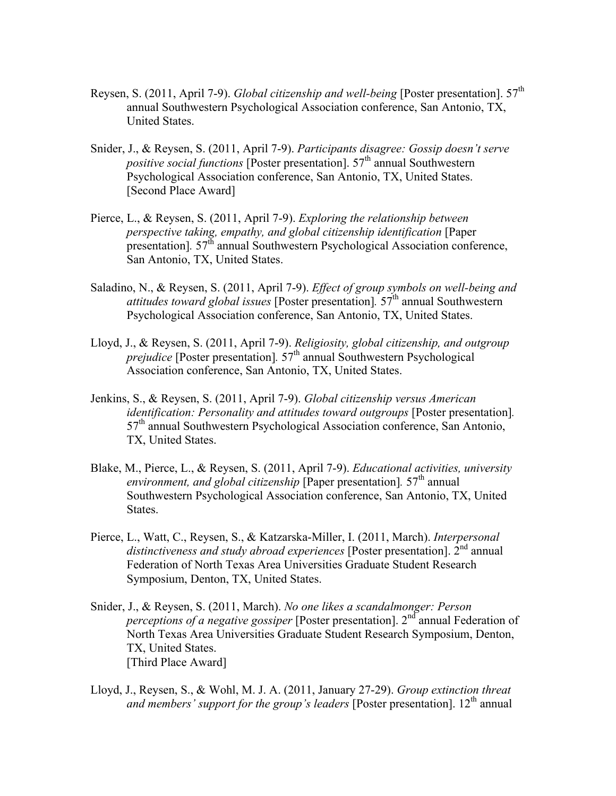- Reysen, S. (2011, April 7-9). *Global citizenship and well-being* [Poster presentation]. 57<sup>th</sup> annual Southwestern Psychological Association conference, San Antonio, TX, United States.
- Snider, J., & Reysen, S. (2011, April 7-9). *Participants disagree: Gossip doesn't serve positive social functions* [Poster presentation]. 57<sup>th</sup> annual Southwestern Psychological Association conference, San Antonio, TX, United States. [Second Place Award]
- Pierce, L., & Reysen, S. (2011, April 7-9). *Exploring the relationship between perspective taking, empathy, and global citizenship identification* [Paper presentation]. 57<sup>th</sup> annual Southwestern Psychological Association conference, San Antonio, TX, United States.
- Saladino, N., & Reysen, S. (2011, April 7-9). *Effect of group symbols on well-being and attitudes toward global issues* [Poster presentation]*.* 57th annual Southwestern Psychological Association conference, San Antonio, TX, United States.
- Lloyd, J., & Reysen, S. (2011, April 7-9). *Religiosity, global citizenship, and outgroup prejudice* [Poster presentation].  $57<sup>th</sup>$  annual Southwestern Psychological Association conference, San Antonio, TX, United States.
- Jenkins, S., & Reysen, S. (2011, April 7-9). *Global citizenship versus American identification: Personality and attitudes toward outgroups* [Poster presentation]*.* 57<sup>th</sup> annual Southwestern Psychological Association conference, San Antonio, TX, United States.
- Blake, M., Pierce, L., & Reysen, S. (2011, April 7-9). *Educational activities, university environment, and global citizenship* [Paper presentation]. 57<sup>th</sup> annual Southwestern Psychological Association conference, San Antonio, TX, United States.
- Pierce, L., Watt, C., Reysen, S., & Katzarska-Miller, I. (2011, March). *Interpersonal* distinctiveness and study abroad experiences [Poster presentation]. 2<sup>nd</sup> annual Federation of North Texas Area Universities Graduate Student Research Symposium, Denton, TX, United States.
- Snider, J., & Reysen, S. (2011, March). *No one likes a scandalmonger: Person perceptions of a negative gossiper* [Poster presentation]. 2<sup>nd</sup> annual Federation of North Texas Area Universities Graduate Student Research Symposium, Denton, TX, United States. [Third Place Award]
- Lloyd, J., Reysen, S., & Wohl, M. J. A. (2011, January 27-29). *Group extinction threat and members' support for the group's leaders* [Poster presentation]. 12<sup>th</sup> annual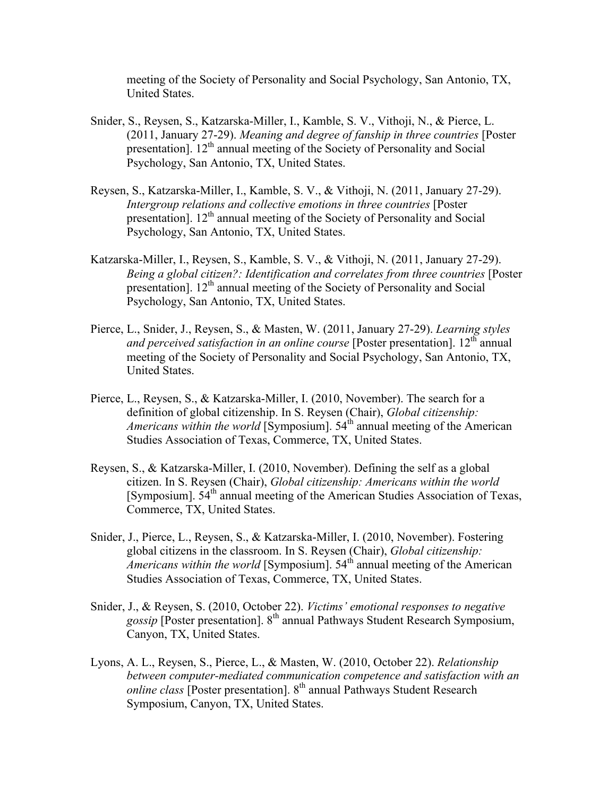meeting of the Society of Personality and Social Psychology, San Antonio, TX, United States.

- Snider, S., Reysen, S., Katzarska-Miller, I., Kamble, S. V., Vithoji, N., & Pierce, L. (2011, January 27-29). *Meaning and degree of fanship in three countries* [Poster presentation]. 12<sup>th</sup> annual meeting of the Society of Personality and Social Psychology, San Antonio, TX, United States.
- Reysen, S., Katzarska-Miller, I., Kamble, S. V., & Vithoji, N. (2011, January 27-29). *Intergroup relations and collective emotions in three countries* [Poster presentation]. 12<sup>th</sup> annual meeting of the Society of Personality and Social Psychology, San Antonio, TX, United States.
- Katzarska-Miller, I., Reysen, S., Kamble, S. V., & Vithoji, N. (2011, January 27-29). *Being a global citizen?: Identification and correlates from three countries* [Poster presentation]. 12<sup>th</sup> annual meeting of the Society of Personality and Social Psychology, San Antonio, TX, United States.
- Pierce, L., Snider, J., Reysen, S., & Masten, W. (2011, January 27-29). *Learning styles and perceived satisfaction in an online course* [Poster presentation]. 12<sup>th</sup> annual meeting of the Society of Personality and Social Psychology, San Antonio, TX, United States.
- Pierce, L., Reysen, S., & Katzarska-Miller, I. (2010, November). The search for a definition of global citizenship. In S. Reysen (Chair), *Global citizenship: Americans within the world* [Symposium].  $54<sup>th</sup>$  annual meeting of the American Studies Association of Texas, Commerce, TX, United States.
- Reysen, S., & Katzarska-Miller, I. (2010, November). Defining the self as a global citizen. In S. Reysen (Chair), *Global citizenship: Americans within the world* [Symposium]. 54<sup>th</sup> annual meeting of the American Studies Association of Texas, Commerce, TX, United States.
- Snider, J., Pierce, L., Reysen, S., & Katzarska-Miller, I. (2010, November). Fostering global citizens in the classroom. In S. Reysen (Chair), *Global citizenship: Americans within the world* [Symposium]. 54<sup>th</sup> annual meeting of the American Studies Association of Texas, Commerce, TX, United States.
- Snider, J., & Reysen, S. (2010, October 22). *Victims' emotional responses to negative gossip* [Poster presentation]. 8th annual Pathways Student Research Symposium, Canyon, TX, United States.
- Lyons, A. L., Reysen, S., Pierce, L., & Masten, W. (2010, October 22). *Relationship between computer-mediated communication competence and satisfaction with an online class* [Poster presentation]. 8<sup>th</sup> annual Pathways Student Research Symposium, Canyon, TX, United States.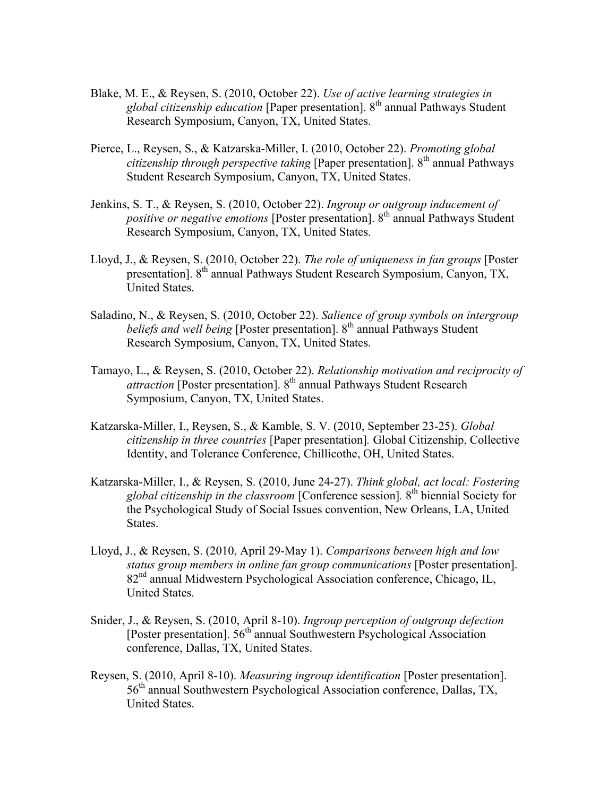- Blake, M. E., & Reysen, S. (2010, October 22). *Use of active learning strategies in global citizenship education* [Paper presentation]. 8th annual Pathways Student Research Symposium, Canyon, TX, United States.
- Pierce, L., Reysen, S., & Katzarska-Miller, I. (2010, October 22). *Promoting global citizenship through perspective taking* [Paper presentation]. 8<sup>th</sup> annual Pathways Student Research Symposium, Canyon, TX, United States.
- Jenkins, S. T., & Reysen, S. (2010, October 22). *Ingroup or outgroup inducement of positive or negative emotions* [Poster presentation]. 8<sup>th</sup> annual Pathways Student Research Symposium, Canyon, TX, United States.
- Lloyd, J., & Reysen, S. (2010, October 22). *The role of uniqueness in fan groups* [Poster presentation]. 8<sup>th</sup> annual Pathways Student Research Symposium, Canyon, TX, United States.
- Saladino, N., & Reysen, S. (2010, October 22). *Salience of group symbols on intergroup beliefs and well being* [Poster presentation]. 8<sup>th</sup> annual Pathways Student Research Symposium, Canyon, TX, United States.
- Tamayo, L., & Reysen, S. (2010, October 22). *Relationship motivation and reciprocity of attraction* [Poster presentation]. 8<sup>th</sup> annual Pathways Student Research Symposium, Canyon, TX, United States.
- Katzarska-Miller, I., Reysen, S., & Kamble, S. V. (2010, September 23-25). *Global citizenship in three countries* [Paper presentation]*.* Global Citizenship, Collective Identity, and Tolerance Conference, Chillicothe, OH, United States.
- Katzarska-Miller, I., & Reysen, S. (2010, June 24-27). *Think global, act local: Fostering global citizenship in the classroom* [Conference session]*.* 8th biennial Society for the Psychological Study of Social Issues convention, New Orleans, LA, United States.
- Lloyd, J., & Reysen, S. (2010, April 29-May 1). *Comparisons between high and low status group members in online fan group communications* [Poster presentation]. 82nd annual Midwestern Psychological Association conference, Chicago, IL, United States.
- Snider, J., & Reysen, S. (2010, April 8-10). *Ingroup perception of outgroup defection* [Poster presentation]. 56th annual Southwestern Psychological Association conference, Dallas, TX, United States.
- Reysen, S. (2010, April 8-10). *Measuring ingroup identification* [Poster presentation].  $56<sup>th</sup>$  annual Southwestern Psychological Association conference, Dallas, TX, United States.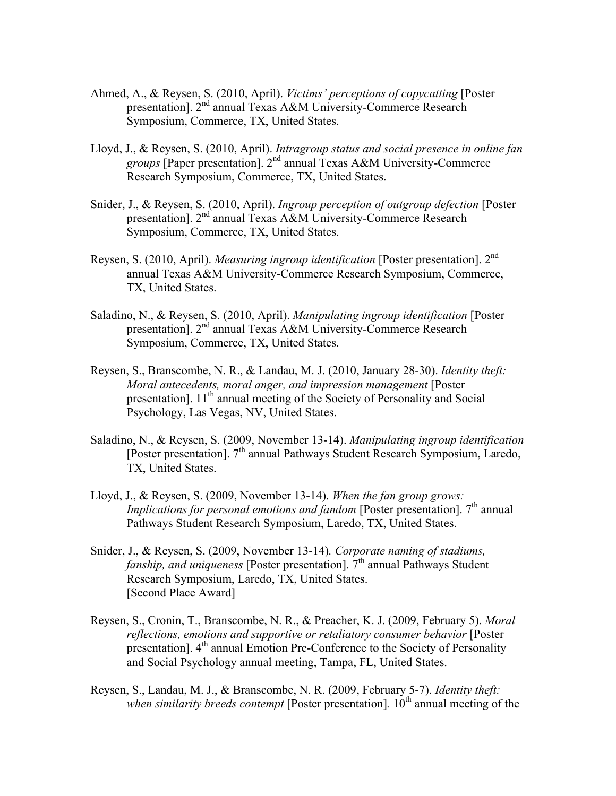- Ahmed, A., & Reysen, S. (2010, April). *Victims' perceptions of copycatting* [Poster presentation]. 2nd annual Texas A&M University-Commerce Research Symposium, Commerce, TX, United States.
- Lloyd, J., & Reysen, S. (2010, April). *Intragroup status and social presence in online fan groups* [Paper presentation]. 2nd annual Texas A&M University-Commerce Research Symposium, Commerce, TX, United States.
- Snider, J., & Reysen, S. (2010, April). *Ingroup perception of outgroup defection* [Poster presentation]. 2nd annual Texas A&M University-Commerce Research Symposium, Commerce, TX, United States.
- Reysen, S. (2010, April). *Measuring ingroup identification* [Poster presentation]. 2nd annual Texas A&M University-Commerce Research Symposium, Commerce, TX, United States.
- Saladino, N., & Reysen, S. (2010, April). *Manipulating ingroup identification* [Poster presentation]. 2<sup>nd</sup> annual Texas A&M University-Commerce Research Symposium, Commerce, TX, United States.
- Reysen, S., Branscombe, N. R., & Landau, M. J. (2010, January 28-30). *Identity theft: Moral antecedents, moral anger, and impression management* [Poster presentation]. 11<sup>th</sup> annual meeting of the Society of Personality and Social Psychology, Las Vegas, NV, United States.
- Saladino, N., & Reysen, S. (2009, November 13-14). *Manipulating ingroup identification* [Poster presentation]. 7<sup>th</sup> annual Pathways Student Research Symposium, Laredo, TX, United States.
- Lloyd, J., & Reysen, S. (2009, November 13-14). *When the fan group grows: Implications for personal emotions and fandom* [Poster presentation]. 7<sup>th</sup> annual Pathways Student Research Symposium, Laredo, TX, United States.
- Snider, J., & Reysen, S. (2009, November 13-14)*. Corporate naming of stadiums, fanship, and uniqueness* [Poster presentation]. 7<sup>th</sup> annual Pathways Student Research Symposium, Laredo, TX, United States. [Second Place Award]
- Reysen, S., Cronin, T., Branscombe, N. R., & Preacher, K. J. (2009, February 5). *Moral reflections, emotions and supportive or retaliatory consumer behavior* [Poster presentation]. 4<sup>th</sup> annual Emotion Pre-Conference to the Society of Personality and Social Psychology annual meeting, Tampa, FL, United States.
- Reysen, S., Landau, M. J., & Branscombe, N. R. (2009, February 5-7). *Identity theft: when similarity breeds contempt* [Poster presentation]. 10<sup>th</sup> annual meeting of the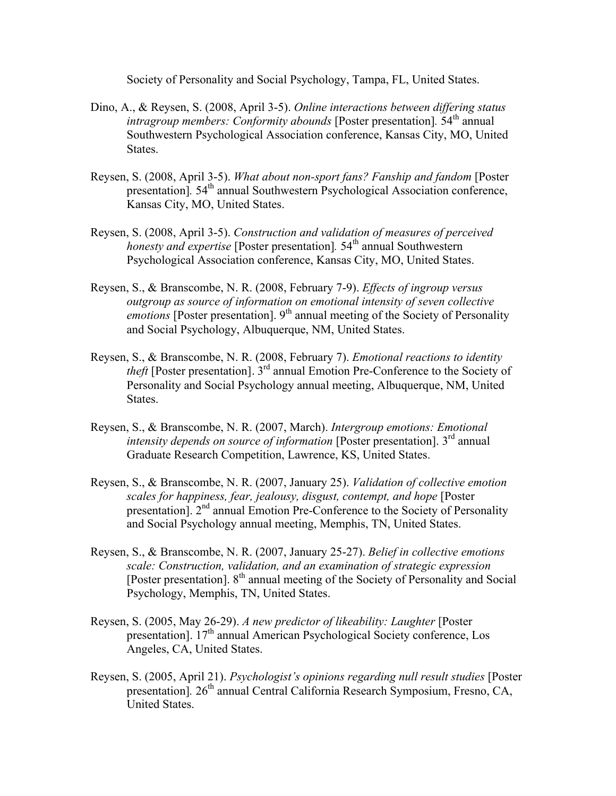Society of Personality and Social Psychology, Tampa, FL, United States.

- Dino, A., & Reysen, S. (2008, April 3-5). *Online interactions between differing status intragroup members: Conformity abounds* [Poster presentation]. 54<sup>th</sup> annual Southwestern Psychological Association conference, Kansas City, MO, United States.
- Reysen, S. (2008, April 3-5). *What about non-sport fans? Fanship and fandom* [Poster presentation]. 54<sup>th</sup> annual Southwestern Psychological Association conference, Kansas City, MO, United States.
- Reysen, S. (2008, April 3-5). *Construction and validation of measures of perceived honesty and expertise* [Poster presentation]. 54<sup>th</sup> annual Southwestern Psychological Association conference, Kansas City, MO, United States.
- Reysen, S., & Branscombe, N. R. (2008, February 7-9). *Effects of ingroup versus outgroup as source of information on emotional intensity of seven collective emotions* [Poster presentation]. 9<sup>th</sup> annual meeting of the Society of Personality and Social Psychology, Albuquerque, NM, United States.
- Reysen, S., & Branscombe, N. R. (2008, February 7). *Emotional reactions to identity theft* [Poster presentation]. 3<sup>rd</sup> annual Emotion Pre-Conference to the Society of Personality and Social Psychology annual meeting, Albuquerque, NM, United States.
- Reysen, S., & Branscombe, N. R. (2007, March). *Intergroup emotions: Emotional intensity depends on source of information* [Poster presentation]. 3<sup>rd</sup> annual Graduate Research Competition, Lawrence, KS, United States.
- Reysen, S., & Branscombe, N. R. (2007, January 25). *Validation of collective emotion scales for happiness, fear, jealousy, disgust, contempt, and hope* [Poster presentation]. 2<sup>nd</sup> annual Emotion Pre-Conference to the Society of Personality and Social Psychology annual meeting, Memphis, TN, United States.
- Reysen, S., & Branscombe, N. R. (2007, January 25-27). *Belief in collective emotions scale: Construction, validation, and an examination of strategic expression* [Poster presentation]. 8<sup>th</sup> annual meeting of the Society of Personality and Social Psychology, Memphis, TN, United States.
- Reysen, S. (2005, May 26-29). *A new predictor of likeability: Laughter* [Poster presentation].  $17<sup>th</sup>$  annual American Psychological Society conference, Los Angeles, CA, United States.
- Reysen, S. (2005, April 21). *Psychologist's opinions regarding null result studies* [Poster presentation<sup>]</sup>. 26<sup>th</sup> annual Central California Research Symposium, Fresno, CA, United States.